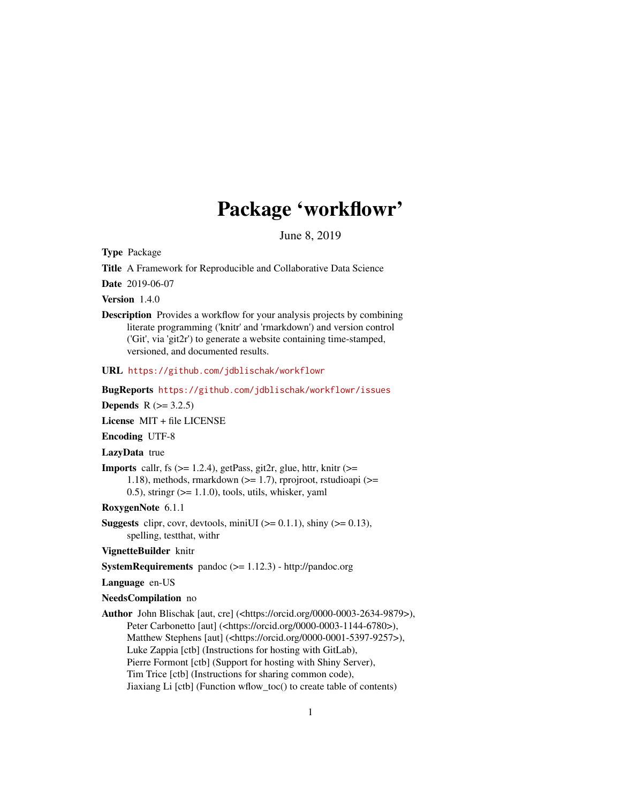## Package 'workflowr'

June 8, 2019

<span id="page-0-0"></span>Type Package

Title A Framework for Reproducible and Collaborative Data Science

Date 2019-06-07

Version 1.4.0

Description Provides a workflow for your analysis projects by combining literate programming ('knitr' and 'rmarkdown') and version control ('Git', via 'git2r') to generate a website containing time-stamped, versioned, and documented results.

URL <https://github.com/jdblischak/workflowr>

BugReports <https://github.com/jdblischak/workflowr/issues>

**Depends**  $R (= 3.2.5)$ 

License MIT + file LICENSE

Encoding UTF-8

LazyData true

**Imports** callr, fs  $(>= 1.2.4)$ , getPass, git2r, glue, httr, knitr  $(>=$ 1.18), methods, rmarkdown (>= 1.7), rprojroot, rstudioapi (>=  $(0.5)$ , stringr  $(>= 1.1.0)$ , tools, utils, whisker, yaml

RoxygenNote 6.1.1

**Suggests** clipr, covr, devtools, miniUI ( $> = 0.1.1$ ), shiny ( $> = 0.13$ ), spelling, testthat, withr

VignetteBuilder knitr

SystemRequirements pandoc (>= 1.12.3) - http://pandoc.org

Language en-US

#### NeedsCompilation no

Author John Blischak [aut, cre] (<https://orcid.org/0000-0003-2634-9879>), Peter Carbonetto [aut] (<https://orcid.org/0000-0003-1144-6780>), Matthew Stephens [aut] (<https://orcid.org/0000-0001-5397-9257>), Luke Zappia [ctb] (Instructions for hosting with GitLab), Pierre Formont [ctb] (Support for hosting with Shiny Server), Tim Trice [ctb] (Instructions for sharing common code), Jiaxiang Li [ctb] (Function wflow\_toc() to create table of contents)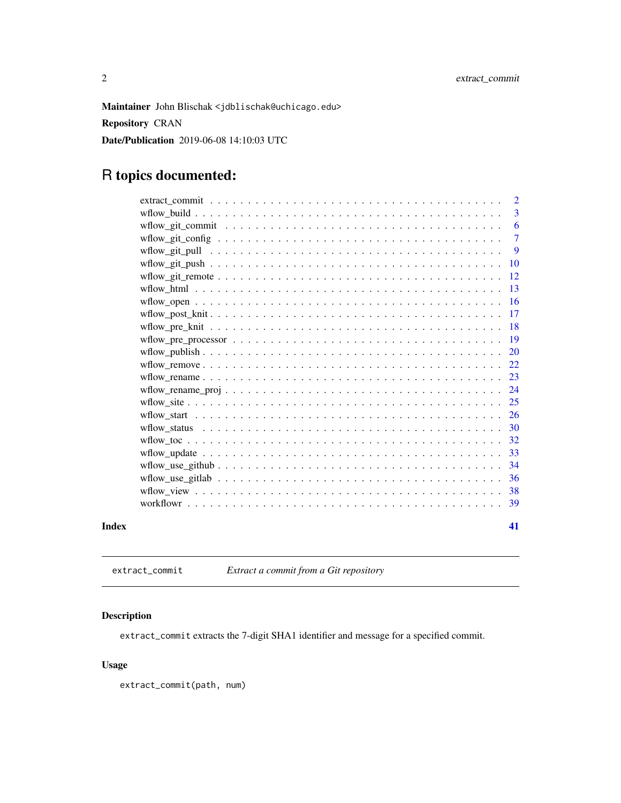<span id="page-1-0"></span>Maintainer John Blischak <jdblischak@uchicago.edu>

Repository CRAN

Date/Publication 2019-06-08 14:10:03 UTC

## R topics documented:

|       | $\overline{2}$ |
|-------|----------------|
|       | 3              |
|       | 6              |
|       | $\overline{7}$ |
|       | -9             |
|       | <b>10</b>      |
|       | 12             |
|       | -13            |
|       | <sup>16</sup>  |
|       | 17             |
|       |                |
|       |                |
|       |                |
|       | 22             |
|       |                |
|       | 24             |
|       |                |
|       |                |
|       |                |
|       | 32             |
|       | 33             |
|       | -34            |
|       | 36             |
|       | 38             |
|       | -39            |
| Index | 41             |
|       |                |

extract\_commit *Extract a commit from a Git repository*

## Description

extract\_commit extracts the 7-digit SHA1 identifier and message for a specified commit.

## Usage

extract\_commit(path, num)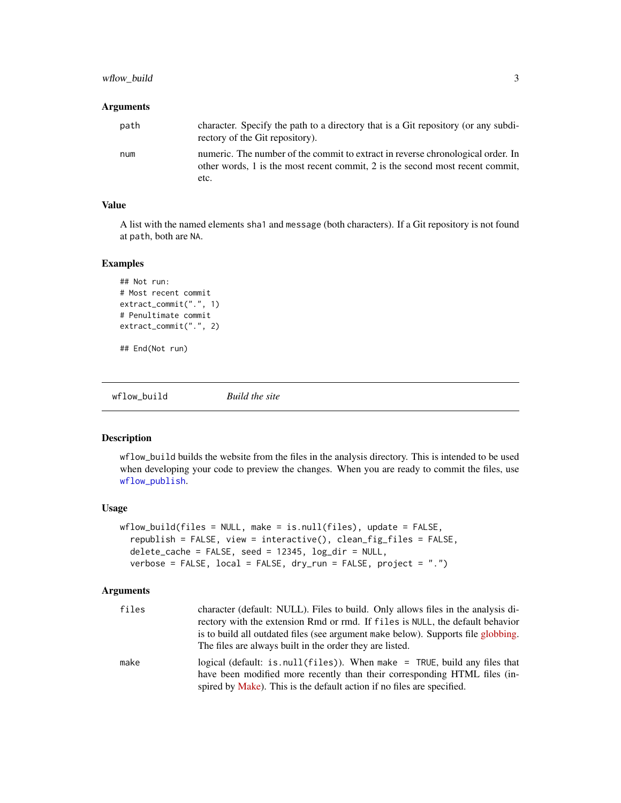## <span id="page-2-0"></span>wflow\_build 3

## Arguments

| path | character. Specify the path to a directory that is a Git repository (or any subdi-<br>rectory of the Git repository).                                                    |
|------|--------------------------------------------------------------------------------------------------------------------------------------------------------------------------|
| num  | numeric. The number of the commit to extract in reverse chronological order. In<br>other words, 1 is the most recent commit, 2 is the second most recent commit,<br>etc. |

## Value

A list with the named elements sha1 and message (both characters). If a Git repository is not found at path, both are NA.

## Examples

```
## Not run:
# Most recent commit
extract_commit(".", 1)
# Penultimate commit
extract_commit(".", 2)
```
## End(Not run)

<span id="page-2-1"></span>wflow\_build *Build the site*

## Description

wflow\_build builds the website from the files in the analysis directory. This is intended to be used when developing your code to preview the changes. When you are ready to commit the files, use [wflow\\_publish](#page-19-1).

#### Usage

```
wflow_build(files = NULL, make = is.null(files), update = FALSE,
  republish = FALSE, view = interactive(), clean_fig_files = FALSE,
  delete_cache = FALSE, seed = 12345, log_dir = NULL,
  verbose = FALSE, local = FALSE, dry_run = FALSE, project = ".")
```

| files | character (default: NULL). Files to build. Only allows files in the analysis di-  |
|-------|-----------------------------------------------------------------------------------|
|       | rectory with the extension Rmd or rmd. If files is NULL, the default behavior     |
|       | is to build all outdated files (see argument make below). Supports file globbing. |
|       | The files are always built in the order they are listed.                          |
| make  | logical (default: is.null(files)). When make = $TRUE$ , build any files that      |
|       | have been modified more recently than their corresponding HTML files (in-         |
|       | spired by Make). This is the default action if no files are specified.            |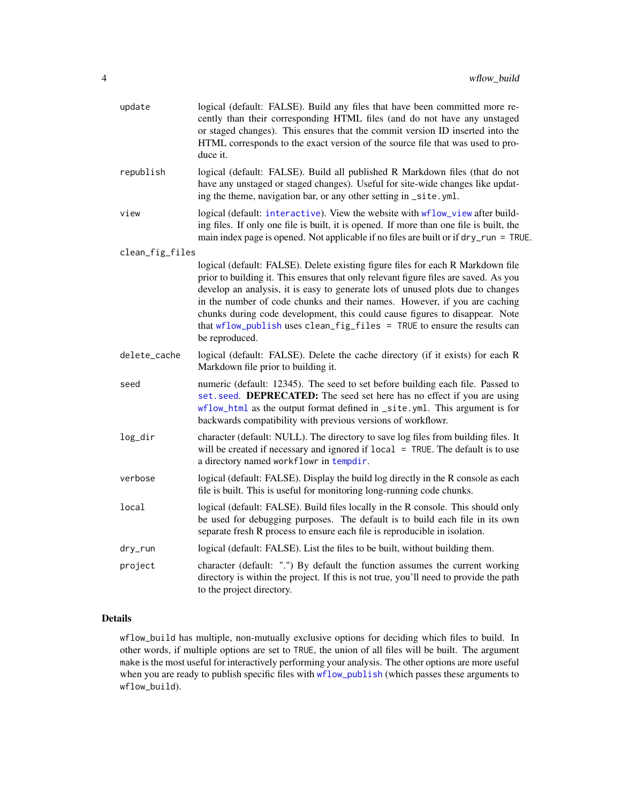<span id="page-3-0"></span>

| update          | logical (default: FALSE). Build any files that have been committed more re-<br>cently than their corresponding HTML files (and do not have any unstaged<br>or staged changes). This ensures that the commit version ID inserted into the<br>HTML corresponds to the exact version of the source file that was used to pro-<br>duce it.                                                                                                                                                                               |
|-----------------|----------------------------------------------------------------------------------------------------------------------------------------------------------------------------------------------------------------------------------------------------------------------------------------------------------------------------------------------------------------------------------------------------------------------------------------------------------------------------------------------------------------------|
| republish       | logical (default: FALSE). Build all published R Markdown files (that do not<br>have any unstaged or staged changes). Useful for site-wide changes like updat-<br>ing the theme, navigation bar, or any other setting in _site.yml.                                                                                                                                                                                                                                                                                   |
| view            | logical (default: interactive). View the website with wflow_view after build-<br>ing files. If only one file is built, it is opened. If more than one file is built, the<br>main index page is opened. Not applicable if no files are built or if dry_run = TRUE.                                                                                                                                                                                                                                                    |
| clean_fig_files |                                                                                                                                                                                                                                                                                                                                                                                                                                                                                                                      |
|                 | logical (default: FALSE). Delete existing figure files for each R Markdown file<br>prior to building it. This ensures that only relevant figure files are saved. As you<br>develop an analysis, it is easy to generate lots of unused plots due to changes<br>in the number of code chunks and their names. However, if you are caching<br>chunks during code development, this could cause figures to disappear. Note<br>that wflow_publish uses clean_fig_files = TRUE to ensure the results can<br>be reproduced. |
| delete_cache    | logical (default: FALSE). Delete the cache directory (if it exists) for each R<br>Markdown file prior to building it.                                                                                                                                                                                                                                                                                                                                                                                                |
| seed            | numeric (default: 12345). The seed to set before building each file. Passed to<br>set. seed. DEPRECATED: The seed set here has no effect if you are using<br>wflow_html as the output format defined in _site.yml. This argument is for<br>backwards compatibility with previous versions of workflowr.                                                                                                                                                                                                              |
| log_dir         | character (default: NULL). The directory to save log files from building files. It<br>will be created if necessary and ignored if local = TRUE. The default is to use<br>a directory named workflowr in tempdir.                                                                                                                                                                                                                                                                                                     |
| verbose         | logical (default: FALSE). Display the build log directly in the R console as each<br>file is built. This is useful for monitoring long-running code chunks.                                                                                                                                                                                                                                                                                                                                                          |
| local           | logical (default: FALSE). Build files locally in the R console. This should only<br>be used for debugging purposes. The default is to build each file in its own<br>separate fresh R process to ensure each file is reproducible in isolation.                                                                                                                                                                                                                                                                       |
| dry_run         | logical (default: FALSE). List the files to be built, without building them.                                                                                                                                                                                                                                                                                                                                                                                                                                         |
| project         | character (default: ".") By default the function assumes the current working<br>directory is within the project. If this is not true, you'll need to provide the path<br>to the project directory.                                                                                                                                                                                                                                                                                                                   |

## Details

wflow\_build has multiple, non-mutually exclusive options for deciding which files to build. In other words, if multiple options are set to TRUE, the union of all files will be built. The argument make is the most useful for interactively performing your analysis. The other options are more useful when you are ready to publish specific files with [wflow\\_publish](#page-19-1) (which passes these arguments to wflow\_build).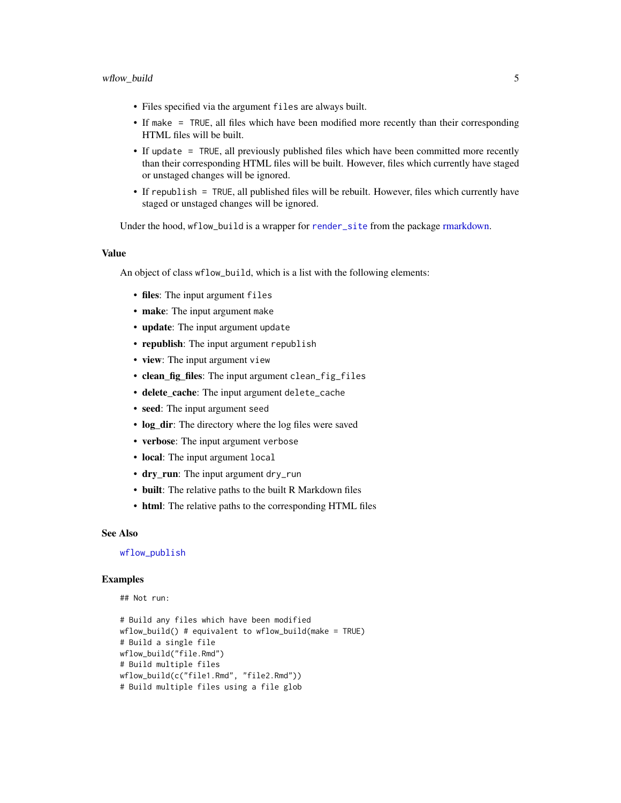- <span id="page-4-0"></span>• Files specified via the argument files are always built.
- If make = TRUE, all files which have been modified more recently than their corresponding HTML files will be built.
- If update = TRUE, all previously published files which have been committed more recently than their corresponding HTML files will be built. However, files which currently have staged or unstaged changes will be ignored.
- If republish = TRUE, all published files will be rebuilt. However, files which currently have staged or unstaged changes will be ignored.

Under the hood, wflow\_build is a wrapper for [render\\_site](#page-0-0) from the package [rmarkdown.](#page-0-0)

#### Value

An object of class wflow\_build, which is a list with the following elements:

- files: The input argument files
- make: The input argument make
- update: The input argument update
- republish: The input argument republish
- view: The input argument view
- clean\_fig\_files: The input argument clean\_fig\_files
- delete\_cache: The input argument delete\_cache
- seed: The input argument seed
- log dir: The directory where the log files were saved
- verbose: The input argument verbose
- local: The input argument local
- dry\_run: The input argument dry\_run
- built: The relative paths to the built R Markdown files
- html: The relative paths to the corresponding HTML files

#### See Also

## [wflow\\_publish](#page-19-1)

#### Examples

```
## Not run:
```

```
# Build any files which have been modified
wflow_build() # equivalent to wflow_build(make = TRUE)
# Build a single file
wflow_build("file.Rmd")
# Build multiple files
wflow_build(c("file1.Rmd", "file2.Rmd"))
# Build multiple files using a file glob
```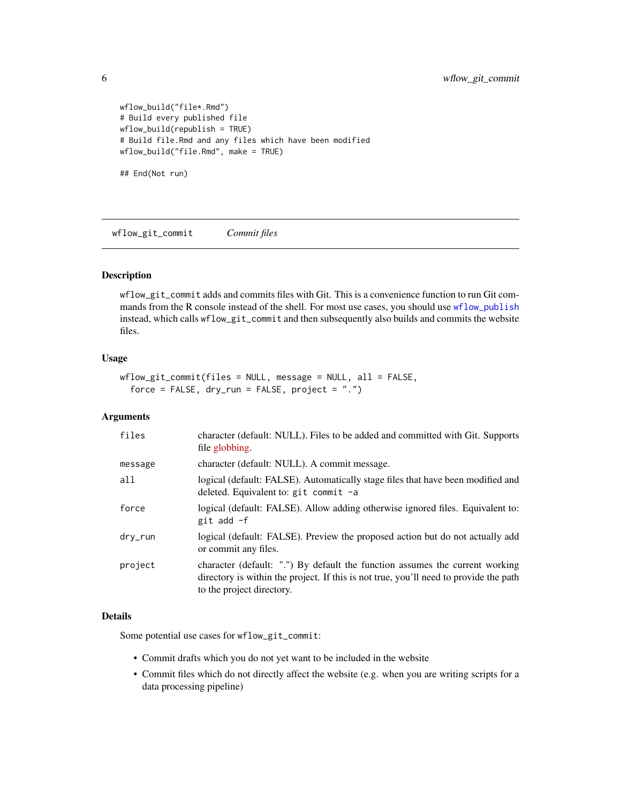```
wflow_build("file*.Rmd")
# Build every published file
wflow_build(republish = TRUE)
# Build file.Rmd and any files which have been modified
wflow_build("file.Rmd", make = TRUE)
## End(Not run)
```
<span id="page-5-1"></span>wflow\_git\_commit *Commit files*

#### Description

wflow\_git\_commit adds and commits files with Git. This is a convenience function to run Git commands from the R console instead of the shell. For most use cases, you should use [wflow\\_publish](#page-19-1) instead, which calls wflow\_git\_commit and then subsequently also builds and commits the website files.

#### Usage

```
wflow_git_commit(files = NULL, message = NULL, all = FALSE,
 force = FALSE, dry_run = FALSE, project = "."
```
#### Arguments

| character (default: NULL). Files to be added and committed with Git. Supports<br>file globbing.                                                                                                    |
|----------------------------------------------------------------------------------------------------------------------------------------------------------------------------------------------------|
| character (default: NULL). A commit message.                                                                                                                                                       |
| logical (default: FALSE). Automatically stage files that have been modified and<br>deleted. Equivalent to: $g$ it commit -a                                                                        |
| logical (default: FALSE). Allow adding otherwise ignored files. Equivalent to:<br>git add -f                                                                                                       |
| logical (default: FALSE). Preview the proposed action but do not actually add<br>or commit any files.                                                                                              |
| character (default: ".") By default the function assumes the current working<br>directory is within the project. If this is not true, you'll need to provide the path<br>to the project directory. |
|                                                                                                                                                                                                    |

#### Details

Some potential use cases for wflow\_git\_commit:

- Commit drafts which you do not yet want to be included in the website
- Commit files which do not directly affect the website (e.g. when you are writing scripts for a data processing pipeline)

<span id="page-5-0"></span>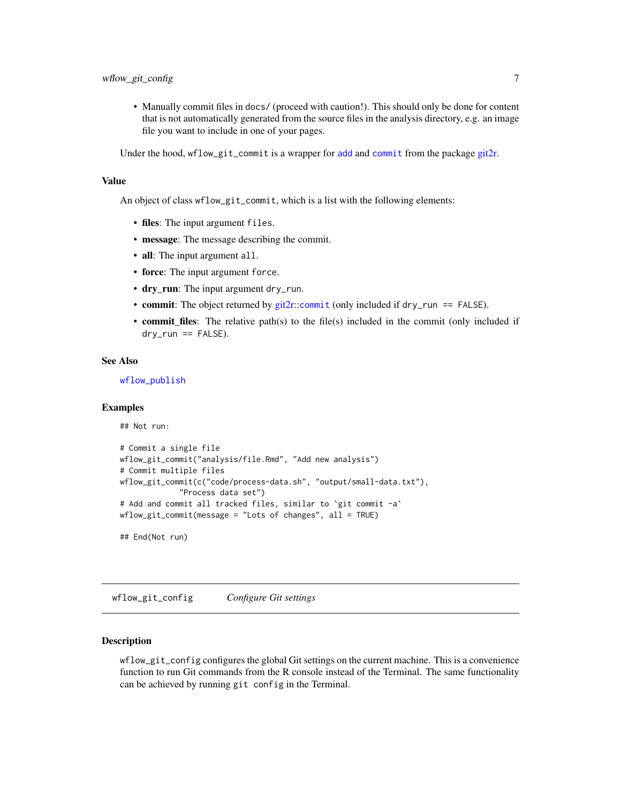<span id="page-6-0"></span>• Manually commit files in docs/ (proceed with caution!). This should only be done for content that is not automatically generated from the source files in the analysis directory, e.g. an image file you want to include in one of your pages.

Under the hood, wflow\_git\_commit is a wrapper for [add](#page-0-0) and [commit](#page-0-0) from the package [git2r.](#page-0-0)

## Value

An object of class wflow\_git\_commit, which is a list with the following elements:

- files: The input argument files.
- message: The message describing the commit.
- all: The input argument all.
- force: The input argument force.
- dry\_run: The input argument dry\_run.
- commit: The object returned by [git2r:](#page-0-0):[commit](#page-0-0) (only included if dry\_run == FALSE).
- **commit\_files**: The relative path(s) to the file(s) included in the commit (only included if  $dry_run == FALSE$ ).

#### See Also

[wflow\\_publish](#page-19-1)

## Examples

```
## Not run:
```

```
# Commit a single file
wflow_git_commit("analysis/file.Rmd", "Add new analysis")
# Commit multiple files
wflow_git_commit(c("code/process-data.sh", "output/small-data.txt"),
             "Process data set")
# Add and commit all tracked files, similar to `git commit -a`
wflow_git_commit(message = "Lots of changes", all = TRUE)
```
## End(Not run)

<span id="page-6-1"></span>wflow\_git\_config *Configure Git settings*

#### **Description**

wflow\_git\_config configures the global Git settings on the current machine. This is a convenience function to run Git commands from the R console instead of the Terminal. The same functionality can be achieved by running git config in the Terminal.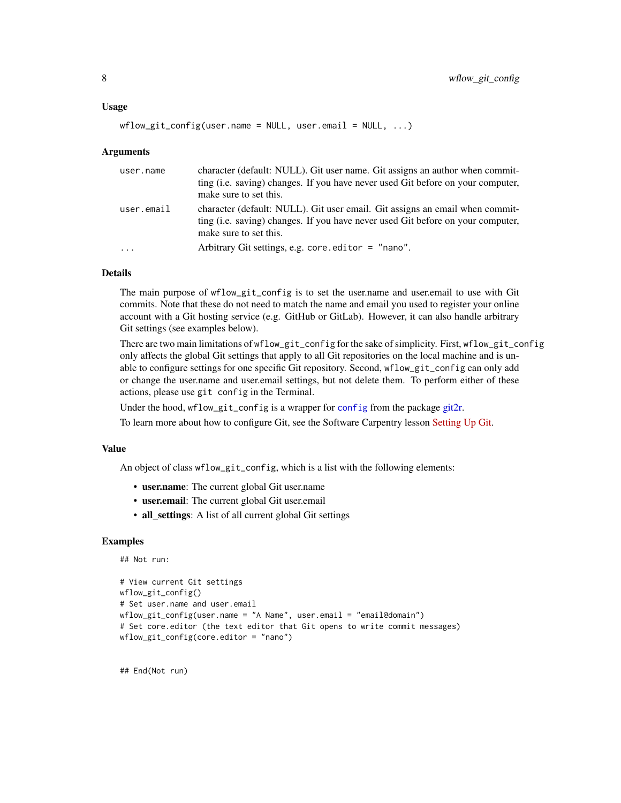#### <span id="page-7-0"></span>Usage

```
wflow_git\_config(user.name = NULL, user.email = NULL, ...)
```
#### Arguments

| user.name               | character (default: NULL). Git user name. Git assigns an author when commit-<br>ting (i.e. saying) changes. If you have never used Git before on your computer,<br>make sure to set this. |
|-------------------------|-------------------------------------------------------------------------------------------------------------------------------------------------------------------------------------------|
| user.email              | character (default: NULL). Git user email. Git assigns an email when commit-<br>ting (i.e. saving) changes. If you have never used Git before on your computer,<br>make sure to set this. |
| $\cdot$ $\cdot$ $\cdot$ | Arbitrary Git settings, e.g. core editor $=$ "nano".                                                                                                                                      |

## Details

The main purpose of wflow\_git\_config is to set the user.name and user.email to use with Git commits. Note that these do not need to match the name and email you used to register your online account with a Git hosting service (e.g. GitHub or GitLab). However, it can also handle arbitrary Git settings (see examples below).

There are two main limitations of wflow\_git\_config for the sake of simplicity. First, wflow\_git\_config only affects the global Git settings that apply to all Git repositories on the local machine and is unable to configure settings for one specific Git repository. Second, wflow\_git\_config can only add or change the user.name and user.email settings, but not delete them. To perform either of these actions, please use git config in the Terminal.

Under the hood, wflow\_git\_[config](#page-0-0) is a wrapper for config from the package [git2r.](#page-0-0)

To learn more about how to configure Git, see the Software Carpentry lesson [Setting Up Git.](http://swcarpentry.github.io/git-novice/02-setup/)

#### Value

An object of class wflow\_git\_config, which is a list with the following elements:

- user.name: The current global Git user.name
- user.email: The current global Git user.email
- all\_settings: A list of all current global Git settings

## Examples

```
## Not run:
```

```
# View current Git settings
wflow_git_config()
# Set user.name and user.email
wflow_git_config(user.name = "A Name", user.email = "email@domain")
# Set core.editor (the text editor that Git opens to write commit messages)
wflow_git_config(core.editor = "nano")
```
## End(Not run)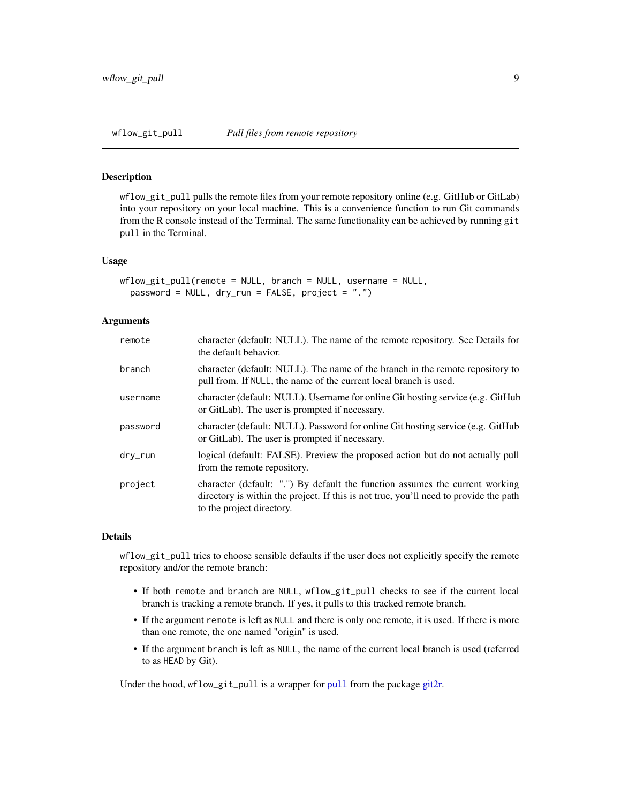#### <span id="page-8-0"></span>Description

wflow\_git\_pull pulls the remote files from your remote repository online (e.g. GitHub or GitLab) into your repository on your local machine. This is a convenience function to run Git commands from the R console instead of the Terminal. The same functionality can be achieved by running git pull in the Terminal.

#### Usage

```
wflow_git_pull(remote = NULL, branch = NULL, username = NULL,
 password = NULL, dry_run = FALSE, project = ".")
```
## Arguments

| remote     | character (default: NULL). The name of the remote repository. See Details for<br>the default behavior.                                                                                             |
|------------|----------------------------------------------------------------------------------------------------------------------------------------------------------------------------------------------------|
| branch     | character (default: NULL). The name of the branch in the remote repository to<br>pull from. If NULL, the name of the current local branch is used.                                                 |
| username   | character (default: NULL). Username for online Git hosting service (e.g. GitHub<br>or GitLab). The user is prompted if necessary.                                                                  |
| password   | character (default: NULL). Password for online Git hosting service (e.g. GitHub<br>or GitLab). The user is prompted if necessary.                                                                  |
| $drv$ _run | logical (default: FALSE). Preview the proposed action but do not actually pull<br>from the remote repository.                                                                                      |
| project    | character (default: ".") By default the function assumes the current working<br>directory is within the project. If this is not true, you'll need to provide the path<br>to the project directory. |

## Details

wflow\_git\_pull tries to choose sensible defaults if the user does not explicitly specify the remote repository and/or the remote branch:

- If both remote and branch are NULL, wflow\_git\_pull checks to see if the current local branch is tracking a remote branch. If yes, it pulls to this tracked remote branch.
- If the argument remote is left as NULL and there is only one remote, it is used. If there is more than one remote, the one named "origin" is used.
- If the argument branch is left as NULL, the name of the current local branch is used (referred to as HEAD by Git).

Under the hood, wflow\_git\_[pull](#page-0-0) is a wrapper for pull from the package [git2r.](#page-0-0)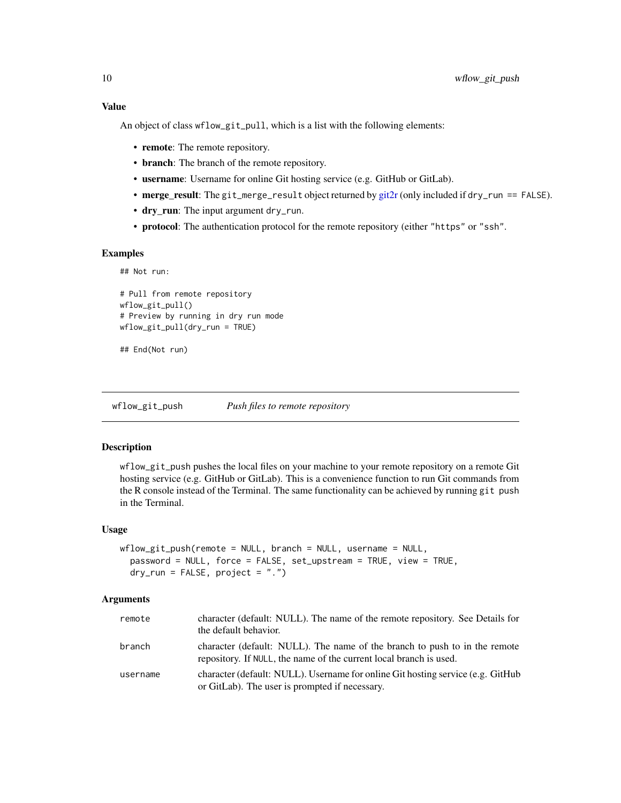## <span id="page-9-0"></span>Value

An object of class wflow\_git\_pull, which is a list with the following elements:

- remote: The remote repository.
- branch: The branch of the remote repository.
- username: Username for online Git hosting service (e.g. GitHub or GitLab).
- merge\_result: The git\_merge\_result object returned by [git2r](#page-0-0) (only included if dry\_run == FALSE).
- dry\_run: The input argument dry\_run.
- protocol: The authentication protocol for the remote repository (either "https" or "ssh".

#### Examples

```
## Not run:
# Pull from remote repository
wflow_git_pull()
# Preview by running in dry run mode
wflow_git_pull(dry_run = TRUE)
```

```
## End(Not run)
```
<span id="page-9-1"></span>wflow\_git\_push *Push files to remote repository*

#### Description

wflow\_git\_push pushes the local files on your machine to your remote repository on a remote Git hosting service (e.g. GitHub or GitLab). This is a convenience function to run Git commands from the R console instead of the Terminal. The same functionality can be achieved by running git push in the Terminal.

#### Usage

```
wflow_git_push(remote = NULL, branch = NULL, username = NULL,password = NULL, force = FALSE, set_upstream = TRUE, view = TRUE,
 dry_run = FALSE, project = "."
```

| remote   | character (default: NULL). The name of the remote repository. See Details for<br>the default behavior.                                           |
|----------|--------------------------------------------------------------------------------------------------------------------------------------------------|
| branch   | character (default: NULL). The name of the branch to push to in the remote<br>repository. If NULL, the name of the current local branch is used. |
| username | character (default: NULL). Username for online Git hosting service (e.g. GitHub<br>or GitLab). The user is prompted if necessary.                |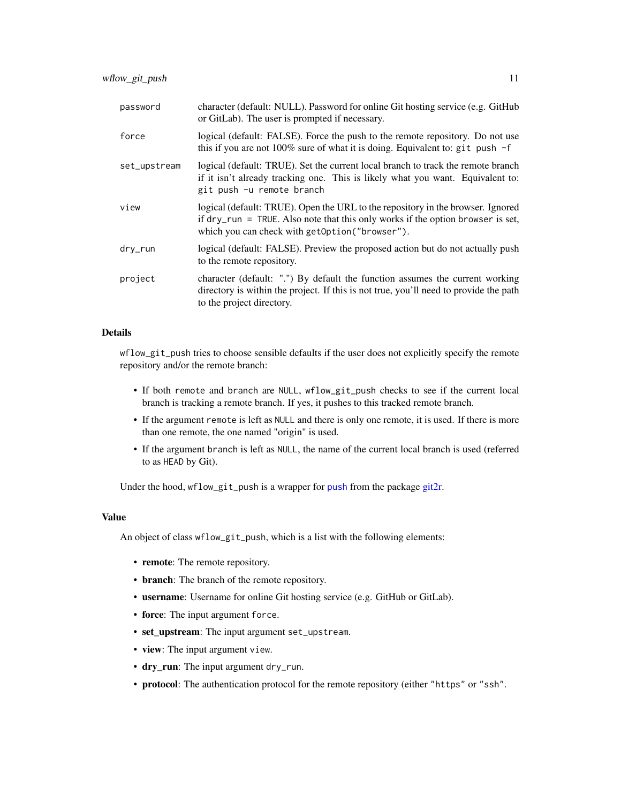<span id="page-10-0"></span>

| password     | character (default: NULL). Password for online Git hosting service (e.g. GitHub<br>or GitLab). The user is prompted if necessary.                                                                                                 |
|--------------|-----------------------------------------------------------------------------------------------------------------------------------------------------------------------------------------------------------------------------------|
| force        | logical (default: FALSE). Force the push to the remote repository. Do not use<br>this if you are not 100% sure of what it is doing. Equivalent to: git push $-f$                                                                  |
| set_upstream | logical (default: TRUE). Set the current local branch to track the remote branch<br>if it isn't already tracking one. This is likely what you want. Equivalent to:<br>git push -u remote branch                                   |
| view         | logical (default: TRUE). Open the URL to the repository in the browser. Ignored<br>if $\frac{dy}{dx}$ run = TRUE. Also note that this only works if the option browser is set,<br>which you can check with getOption ("browser"). |
| dry_run      | logical (default: FALSE). Preview the proposed action but do not actually push<br>to the remote repository.                                                                                                                       |
| project      | character (default: ".") By default the function assumes the current working<br>directory is within the project. If this is not true, you'll need to provide the path<br>to the project directory.                                |

## Details

wflow\_git\_push tries to choose sensible defaults if the user does not explicitly specify the remote repository and/or the remote branch:

- If both remote and branch are NULL, wflow\_git\_push checks to see if the current local branch is tracking a remote branch. If yes, it pushes to this tracked remote branch.
- If the argument remote is left as NULL and there is only one remote, it is used. If there is more than one remote, the one named "origin" is used.
- If the argument branch is left as NULL, the name of the current local branch is used (referred to as HEAD by Git).

Under the hood, wflow\_git\_[push](#page-0-0) is a wrapper for push from the package [git2r.](#page-0-0)

#### Value

An object of class wflow\_git\_push, which is a list with the following elements:

- remote: The remote repository.
- branch: The branch of the remote repository.
- username: Username for online Git hosting service (e.g. GitHub or GitLab).
- force: The input argument force.
- set\_upstream: The input argument set\_upstream.
- view: The input argument view.
- dry\_run: The input argument dry\_run.
- protocol: The authentication protocol for the remote repository (either "https" or "ssh".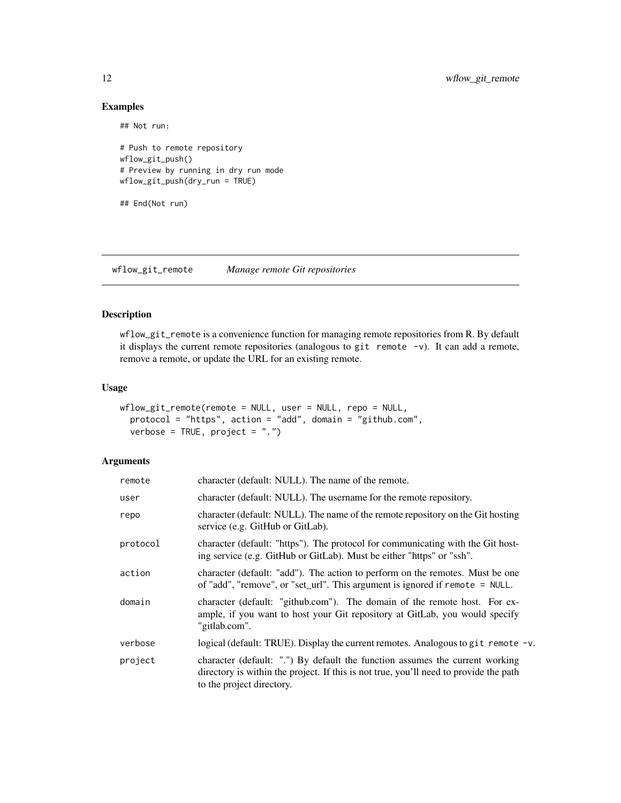## Examples

```
## Not run:
# Push to remote repository
wflow_git_push()
# Preview by running in dry run mode
wflow_git_push(dry_run = TRUE)
## End(Not run)
```
<span id="page-11-1"></span>wflow\_git\_remote *Manage remote Git repositories*

## Description

wflow\_git\_remote is a convenience function for managing remote repositories from R. By default it displays the current remote repositories (analogous to git remote  $-v$ ). It can add a remote, remove a remote, or update the URL for an existing remote.

#### Usage

```
wflow_git_remote(remote = NULL, user = NULL, repo = NULL,
 protocol = "https", action = "add", domain = "github.com",
 verbose = TRUE, project = "."
```

| remote   | character (default: NULL). The name of the remote.                                                                                                                                                 |
|----------|----------------------------------------------------------------------------------------------------------------------------------------------------------------------------------------------------|
| user     | character (default: NULL). The username for the remote repository.                                                                                                                                 |
| repo     | character (default: NULL). The name of the remote repository on the Git hosting<br>service (e.g. GitHub or GitLab).                                                                                |
| protocol | character (default: "https"). The protocol for communicating with the Git host-<br>ing service (e.g. GitHub or GitLab). Must be either "https" or "ssh".                                           |
| action   | character (default: "add"). The action to perform on the remotes. Must be one<br>of "add", "remove", or "set_url". This argument is ignored if remote $=$ NULL.                                    |
| domain   | character (default: "github.com"). The domain of the remote host. For ex-<br>ample, if you want to host your Git repository at GitLab, you would specify<br>"gitlab.com".                          |
| verbose  | logical (default: TRUE). Display the current remotes. Analogous to git remote -v.                                                                                                                  |
| project  | character (default: ".") By default the function assumes the current working<br>directory is within the project. If this is not true, you'll need to provide the path<br>to the project directory. |

<span id="page-11-0"></span>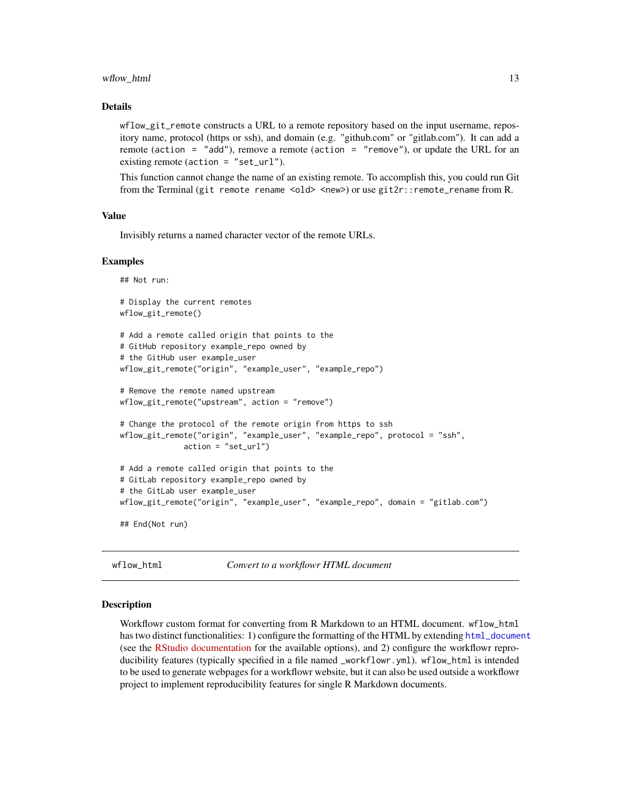#### <span id="page-12-0"></span>wflow\_html 13

#### Details

wflow\_git\_remote constructs a URL to a remote repository based on the input username, repository name, protocol (https or ssh), and domain (e.g. "github.com" or "gitlab.com"). It can add a remote (action = "add"), remove a remote (action = "remove"), or update the URL for an existing remote (action = "set\_url").

This function cannot change the name of an existing remote. To accomplish this, you could run Git from the Terminal (git remote rename <old> <new>) or use git2r::remote\_rename from R.

#### Value

Invisibly returns a named character vector of the remote URLs.

#### Examples

```
## Not run:
# Display the current remotes
wflow_git_remote()
# Add a remote called origin that points to the
# GitHub repository example_repo owned by
# the GitHub user example_user
wflow_git_remote("origin", "example_user", "example_repo")
# Remove the remote named upstream
wflow_git_remote("upstream", action = "remove")
# Change the protocol of the remote origin from https to ssh
wflow_git_remote("origin", "example_user", "example_repo", protocol = "ssh",
              action = "set_url")
# Add a remote called origin that points to the
# GitLab repository example_repo owned by
# the GitLab user example_user
wflow_git_remote("origin", "example_user", "example_repo", domain = "gitlab.com")
## End(Not run)
```
<span id="page-12-1"></span>

wflow\_html *Convert to a workflowr HTML document*

#### Description

Workflowr custom format for converting from R Markdown to an HTML document. wflow\_html has two distinct functionalities: 1) configure the formatting of the HTML by extending [html\\_document](#page-0-0) (see the [RStudio documentation](https://rmarkdown.rstudio.com/html_document_format.html) for the available options), and 2) configure the workflowr reproducibility features (typically specified in a file named \_workflowr.yml). wflow\_html is intended to be used to generate webpages for a workflowr website, but it can also be used outside a workflowr project to implement reproducibility features for single R Markdown documents.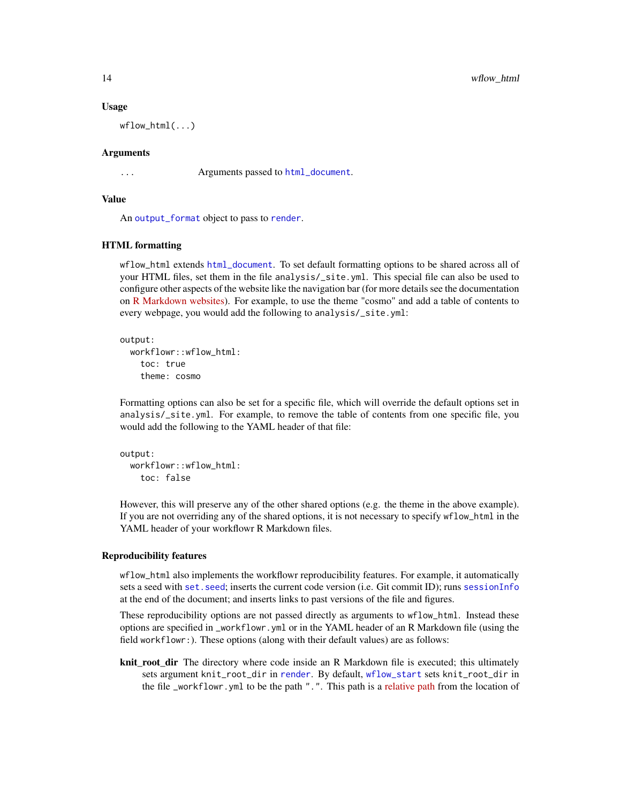#### Usage

 $wflow_thtml(...)$ 

#### Arguments

... Arguments passed to [html\\_document](#page-0-0).

#### Value

An [output\\_format](#page-0-0) object to pass to [render](#page-0-0).

## HTML formatting

wflow\_html extends [html\\_document](#page-0-0). To set default formatting options to be shared across all of your HTML files, set them in the file analysis/\_site.yml. This special file can also be used to configure other aspects of the website like the navigation bar (for more details see the documentation on [R Markdown websites\)](https://rmarkdown.rstudio.com/rmarkdown_websites.html). For example, to use the theme "cosmo" and add a table of contents to every webpage, you would add the following to analysis/\_site.yml:

## output:

workflowr::wflow\_html: toc: true theme: cosmo

Formatting options can also be set for a specific file, which will override the default options set in analysis/\_site.yml. For example, to remove the table of contents from one specific file, you would add the following to the YAML header of that file:

```
output:
  workflowr::wflow_html:
    toc: false
```
However, this will preserve any of the other shared options (e.g. the theme in the above example). If you are not overriding any of the shared options, it is not necessary to specify wflow\_html in the YAML header of your workflowr R Markdown files.

#### Reproducibility features

wflow\_html also implements the workflowr reproducibility features. For example, it automatically sets a seed with set. seed; inserts the current code version (i.e. Git commit ID); runs [sessionInfo](#page-0-0) at the end of the document; and inserts links to past versions of the file and figures.

These reproducibility options are not passed directly as arguments to wflow\_html. Instead these options are specified in \_workflowr.yml or in the YAML header of an R Markdown file (using the field workflowr:). These options (along with their default values) are as follows:

knit\_root\_dir The directory where code inside an R Markdown file is executed; this ultimately sets argument knit\_root\_dir in [render](#page-0-0). By default, [wflow\\_start](#page-25-1) sets knit\_root\_dir in the file \_workflowr.yml to be the path ".". This path is a [relative path](https://swcarpentry.github.io/shell-novice/reference/#relative-path) from the location of

<span id="page-13-0"></span>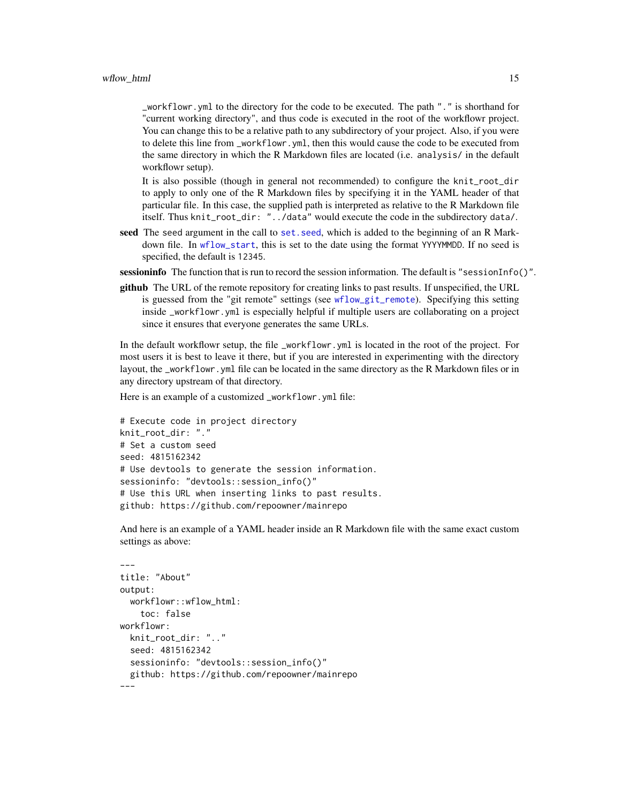<span id="page-14-0"></span>\_workflowr.yml to the directory for the code to be executed. The path "." is shorthand for "current working directory", and thus code is executed in the root of the workflowr project. You can change this to be a relative path to any subdirectory of your project. Also, if you were to delete this line from \_workflowr.yml, then this would cause the code to be executed from the same directory in which the R Markdown files are located (i.e. analysis/ in the default workflowr setup).

It is also possible (though in general not recommended) to configure the knit\_root\_dir to apply to only one of the R Markdown files by specifying it in the YAML header of that particular file. In this case, the supplied path is interpreted as relative to the R Markdown file itself. Thus knit\_root\_dir: "../data" would execute the code in the subdirectory data/.

seed The seed argument in the call to set. seed, which is added to the beginning of an R Markdown file. In [wflow\\_start](#page-25-1), this is set to the date using the format YYYYMMDD. If no seed is specified, the default is 12345.

sessioninfo The function that is run to record the session information. The default is "sessionInfo()".

github The URL of the remote repository for creating links to past results. If unspecified, the URL is guessed from the "git remote" settings (see [wflow\\_git\\_remote](#page-11-1)). Specifying this setting inside \_workflowr.yml is especially helpful if multiple users are collaborating on a project since it ensures that everyone generates the same URLs.

In the default workflowr setup, the file \_workflowr.yml is located in the root of the project. For most users it is best to leave it there, but if you are interested in experimenting with the directory layout, the \_workflowr.yml file can be located in the same directory as the R Markdown files or in any directory upstream of that directory.

Here is an example of a customized \_workflowr.yml file:

```
# Execute code in project directory
knit_root_dir: "."
# Set a custom seed
seed: 4815162342
# Use devtools to generate the session information.
sessioninfo: "devtools::session_info()"
# Use this URL when inserting links to past results.
github: https://github.com/repoowner/mainrepo
```
And here is an example of a YAML header inside an R Markdown file with the same exact custom settings as above:

```
---
title: "About"
output:
 workflowr::wflow_html:
    toc: false
workflowr:
  knit_root_dir: ".."
  seed: 4815162342
  sessioninfo: "devtools::session_info()"
  github: https://github.com/repoowner/mainrepo
---
```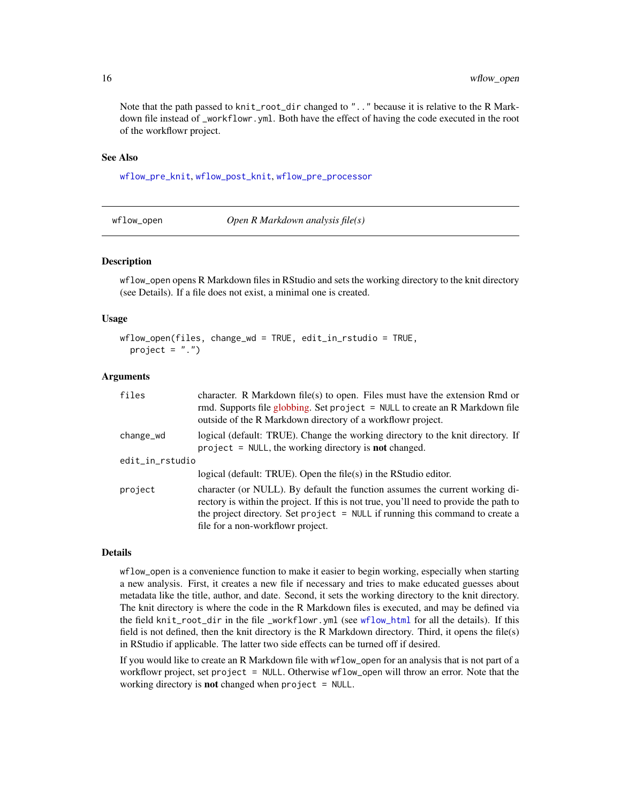Note that the path passed to knit\_root\_dir changed to ".." because it is relative to the R Markdown file instead of \_workflowr.yml. Both have the effect of having the code executed in the root of the workflowr project.

## See Also

[wflow\\_pre\\_knit](#page-17-1), [wflow\\_post\\_knit](#page-16-1), [wflow\\_pre\\_processor](#page-18-1)

wflow\_open *Open R Markdown analysis file(s)*

#### **Description**

wflow\_open opens R Markdown files in RStudio and sets the working directory to the knit directory (see Details). If a file does not exist, a minimal one is created.

## Usage

```
wflow_open(files, change_wd = TRUE, edit_in_rstudio = TRUE,
 project = ".")
```
#### Arguments

| files           | character. R Markdown file(s) to open. Files must have the extension Rmd or<br>rmd. Supports file globbing. Set project = NULL to create an R Markdown file<br>outside of the R Markdown directory of a workflowr project.                                                                   |
|-----------------|----------------------------------------------------------------------------------------------------------------------------------------------------------------------------------------------------------------------------------------------------------------------------------------------|
| change_wd       | logical (default: TRUE). Change the working directory to the knit directory. If<br>$project = NULL$ , the working directory is <b>not</b> changed.                                                                                                                                           |
| edit_in_rstudio |                                                                                                                                                                                                                                                                                              |
|                 | logical (default: TRUE). Open the file $(s)$ in the RStudio editor.                                                                                                                                                                                                                          |
| project         | character (or NULL). By default the function assumes the current working di-<br>rectory is within the project. If this is not true, you'll need to provide the path to<br>the project directory. Set project = NULL if running this command to create a<br>file for a non-workflowr project. |

## Details

wflow\_open is a convenience function to make it easier to begin working, especially when starting a new analysis. First, it creates a new file if necessary and tries to make educated guesses about metadata like the title, author, and date. Second, it sets the working directory to the knit directory. The knit directory is where the code in the R Markdown files is executed, and may be defined via the field knit\_root\_dir in the file \_workflowr.yml (see [wflow\\_html](#page-12-1) for all the details). If this field is not defined, then the knit directory is the R Markdown directory. Third, it opens the file(s) in RStudio if applicable. The latter two side effects can be turned off if desired.

If you would like to create an R Markdown file with wflow\_open for an analysis that is not part of a workflowr project, set project = NULL. Otherwise wflow\_open will throw an error. Note that the working directory is **not** changed when  $project = NULL$ .

<span id="page-15-0"></span>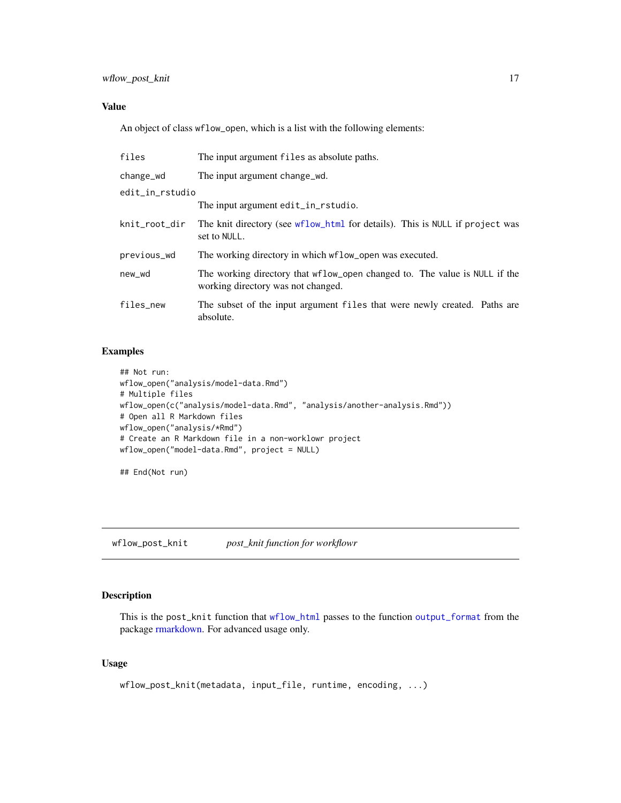## <span id="page-16-0"></span>Value

An object of class wflow\_open, which is a list with the following elements:

| files           | The input argument files as absolute paths.                                                                      |
|-----------------|------------------------------------------------------------------------------------------------------------------|
| change_wd       | The input argument change wd.                                                                                    |
| edit_in_rstudio |                                                                                                                  |
|                 | The input argument edit_in_rstudio.                                                                              |
| knit_root_dir   | The knit directory (see wflow_html for details). This is NULL if project was<br>set to NULL.                     |
| previous_wd     | The working directory in which wflow_open was executed.                                                          |
| new_wd          | The working directory that wflow_open changed to. The value is NULL if the<br>working directory was not changed. |
| files_new       | The subset of the input argument files that were newly created. Paths are<br>absolute.                           |

## Examples

```
## Not run:
wflow_open("analysis/model-data.Rmd")
# Multiple files
wflow_open(c("analysis/model-data.Rmd", "analysis/another-analysis.Rmd"))
# Open all R Markdown files
wflow_open("analysis/*Rmd")
# Create an R Markdown file in a non-worklowr project
wflow_open("model-data.Rmd", project = NULL)
```
## End(Not run)

<span id="page-16-1"></span>wflow\_post\_knit *post\_knit function for workflowr*

## Description

This is the post\_knit function that [wflow\\_html](#page-12-1) passes to the function [output\\_format](#page-0-0) from the package [rmarkdown.](#page-0-0) For advanced usage only.

## Usage

```
wflow_post_knit(metadata, input_file, runtime, encoding, ...)
```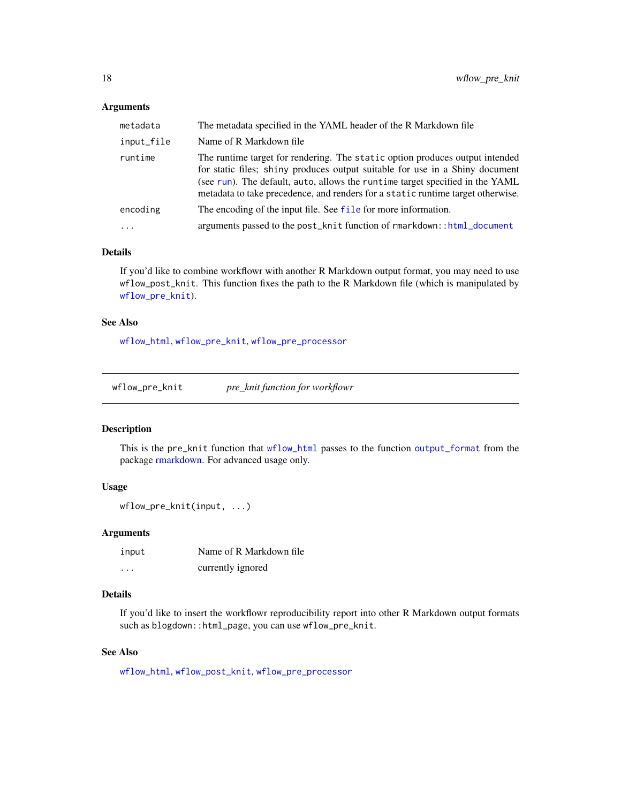#### <span id="page-17-0"></span>Arguments

| metadata   | The metadata specified in the YAML header of the R Markdown file                                                                                                                                                                                                                                                                 |
|------------|----------------------------------------------------------------------------------------------------------------------------------------------------------------------------------------------------------------------------------------------------------------------------------------------------------------------------------|
| input_file | Name of R Markdown file                                                                                                                                                                                                                                                                                                          |
| runtime    | The runtime target for rendering. The static option produces output intended<br>for static files; shiny produces output suitable for use in a Shiny document<br>(see run). The default, auto, allows the runtime target specified in the YAML<br>metadata to take precedence, and renders for a static runtime target otherwise. |
| encoding   | The encoding of the input file. See file for more information.                                                                                                                                                                                                                                                                   |
|            | arguments passed to the post_knit function of rmarkdown::html_document                                                                                                                                                                                                                                                           |

## Details

If you'd like to combine workflowr with another R Markdown output format, you may need to use wflow\_post\_knit. This function fixes the path to the R Markdown file (which is manipulated by [wflow\\_pre\\_knit](#page-17-1)).

#### See Also

[wflow\\_html](#page-12-1), [wflow\\_pre\\_knit](#page-17-1), [wflow\\_pre\\_processor](#page-18-1)

<span id="page-17-1"></span>

| wflow_pre_knit |  | pre_knit function for workflowr |
|----------------|--|---------------------------------|
|----------------|--|---------------------------------|

## Description

This is the pre\_knit function that [wflow\\_html](#page-12-1) passes to the function [output\\_format](#page-0-0) from the package [rmarkdown.](#page-0-0) For advanced usage only.

#### Usage

```
wflow_pre_knit(input, ...)
```
#### Arguments

| input    | Name of R Markdown file |
|----------|-------------------------|
| $\cdots$ | currently ignored       |

## Details

If you'd like to insert the workflowr reproducibility report into other R Markdown output formats such as blogdown::html\_page, you can use wflow\_pre\_knit.

## See Also

[wflow\\_html](#page-12-1), [wflow\\_post\\_knit](#page-16-1), [wflow\\_pre\\_processor](#page-18-1)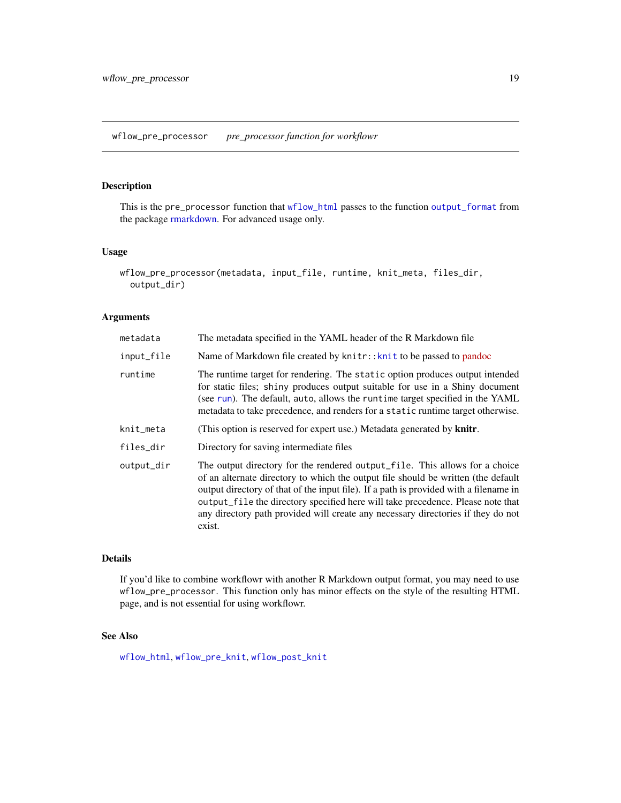## <span id="page-18-1"></span><span id="page-18-0"></span>Description

This is the pre\_processor function that [wflow\\_html](#page-12-1) passes to the function [output\\_format](#page-0-0) from the package [rmarkdown.](#page-0-0) For advanced usage only.

## Usage

```
wflow_pre_processor(metadata, input_file, runtime, knit_meta, files_dir,
  output_dir)
```
## Arguments

| metadata   | The metadata specified in the YAML header of the R Markdown file                                                                                                                                                                                                                                                                                                                                                                           |
|------------|--------------------------------------------------------------------------------------------------------------------------------------------------------------------------------------------------------------------------------------------------------------------------------------------------------------------------------------------------------------------------------------------------------------------------------------------|
| input_file | Name of Markdown file created by knitr:: knit to be passed to pandoc                                                                                                                                                                                                                                                                                                                                                                       |
| runtime    | The runtime target for rendering. The static option produces output intended<br>for static files; shiny produces output suitable for use in a Shiny document<br>(see run). The default, auto, allows the runtime target specified in the YAML<br>metadata to take precedence, and renders for a static runtime target otherwise.                                                                                                           |
| knit_meta  | (This option is reserved for expert use.) Metadata generated by knitr.                                                                                                                                                                                                                                                                                                                                                                     |
| files_dir  | Directory for saving intermediate files                                                                                                                                                                                                                                                                                                                                                                                                    |
| output_dir | The output directory for the rendered output_file. This allows for a choice<br>of an alternate directory to which the output file should be written (the default<br>output directory of that of the input file). If a path is provided with a filename in<br>output_file the directory specified here will take precedence. Please note that<br>any directory path provided will create any necessary directories if they do not<br>exist. |

## Details

If you'd like to combine workflowr with another R Markdown output format, you may need to use wflow\_pre\_processor. This function only has minor effects on the style of the resulting HTML page, and is not essential for using workflowr.

## See Also

[wflow\\_html](#page-12-1), [wflow\\_pre\\_knit](#page-17-1), [wflow\\_post\\_knit](#page-16-1)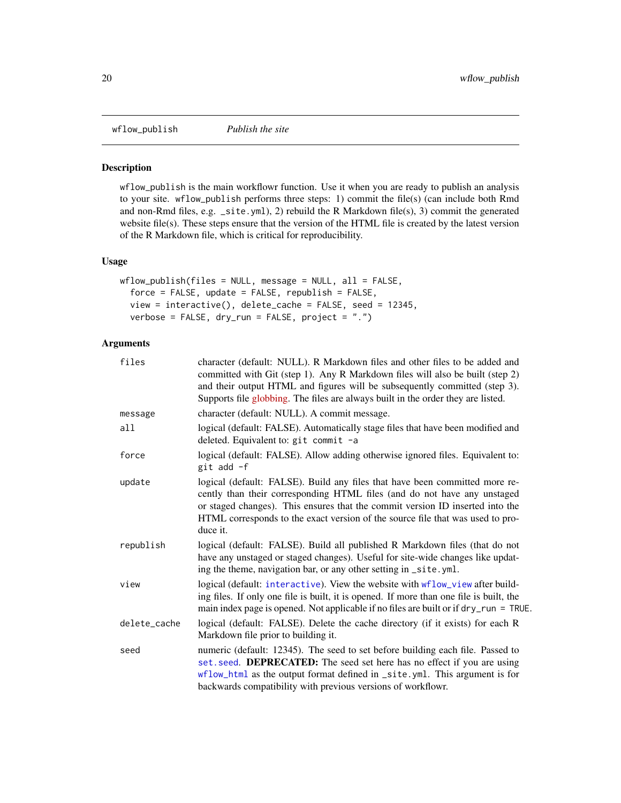<span id="page-19-1"></span><span id="page-19-0"></span>wflow\_publish *Publish the site*

## Description

wflow\_publish is the main workflowr function. Use it when you are ready to publish an analysis to your site. wflow\_publish performs three steps: 1) commit the file(s) (can include both Rmd and non-Rmd files, e.g. \_site.yml), 2) rebuild the R Markdown file(s), 3) commit the generated website file(s). These steps ensure that the version of the HTML file is created by the latest version of the R Markdown file, which is critical for reproducibility.

## Usage

```
wflow\_publish(files = NULL, message = NULL, all = FALSE,force = FALSE, update = FALSE, republish = FALSE,
  view = interactive(), delete_cache = FALSE, seed = 12345,
  verbose = FALSE, dry_run = FALSE, project = ".")
```

| files        | character (default: NULL). R Markdown files and other files to be added and<br>committed with Git (step 1). Any R Markdown files will also be built (step 2)<br>and their output HTML and figures will be subsequently committed (step 3).<br>Supports file globbing. The files are always built in the order they are listed.         |
|--------------|----------------------------------------------------------------------------------------------------------------------------------------------------------------------------------------------------------------------------------------------------------------------------------------------------------------------------------------|
| message      | character (default: NULL). A commit message.                                                                                                                                                                                                                                                                                           |
| all          | logical (default: FALSE). Automatically stage files that have been modified and<br>deleted. Equivalent to: git commit -a                                                                                                                                                                                                               |
| force        | logical (default: FALSE). Allow adding otherwise ignored files. Equivalent to:<br>git add -f                                                                                                                                                                                                                                           |
| update       | logical (default: FALSE). Build any files that have been committed more re-<br>cently than their corresponding HTML files (and do not have any unstaged<br>or staged changes). This ensures that the commit version ID inserted into the<br>HTML corresponds to the exact version of the source file that was used to pro-<br>duce it. |
| republish    | logical (default: FALSE). Build all published R Markdown files (that do not<br>have any unstaged or staged changes). Useful for site-wide changes like updat-<br>ing the theme, navigation bar, or any other setting in _site.yml.                                                                                                     |
| view         | logical (default: interactive). View the website with wflow_view after build-<br>ing files. If only one file is built, it is opened. If more than one file is built, the<br>main index page is opened. Not applicable if no files are built or if dry_run = TRUE.                                                                      |
| delete_cache | logical (default: FALSE). Delete the cache directory (if it exists) for each R<br>Markdown file prior to building it.                                                                                                                                                                                                                  |
| seed         | numeric (default: 12345). The seed to set before building each file. Passed to<br>set. seed. DEPRECATED: The seed set here has no effect if you are using<br>wflow_html as the output format defined in _site.yml. This argument is for<br>backwards compatibility with previous versions of workflowr.                                |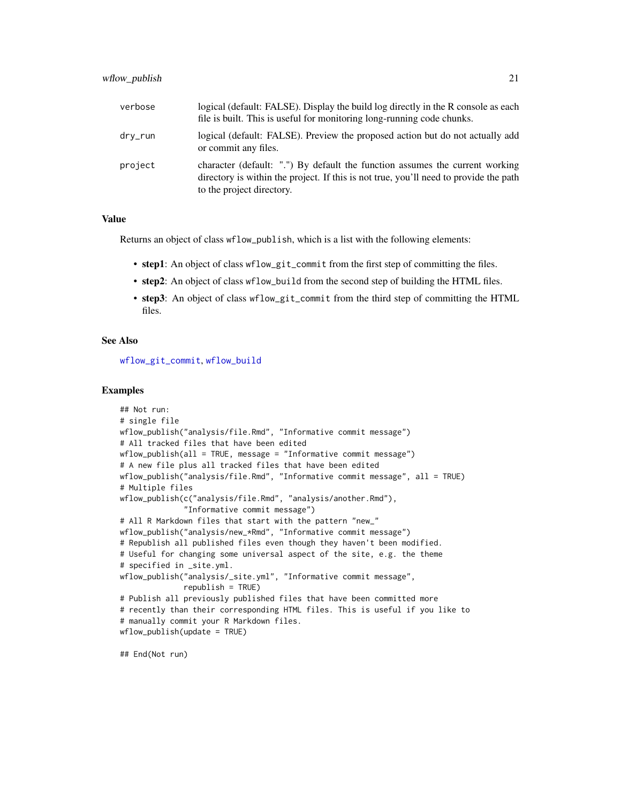<span id="page-20-0"></span>

| verbose | logical (default: FALSE). Display the build log directly in the R console as each<br>file is built. This is useful for monitoring long-running code chunks.                                        |
|---------|----------------------------------------------------------------------------------------------------------------------------------------------------------------------------------------------------|
| dry_run | logical (default: FALSE). Preview the proposed action but do not actually add<br>or commit any files.                                                                                              |
| project | character (default: ".") By default the function assumes the current working<br>directory is within the project. If this is not true, you'll need to provide the path<br>to the project directory. |

#### Value

Returns an object of class wflow\_publish, which is a list with the following elements:

- step1: An object of class wflow\_git\_commit from the first step of committing the files.
- step2: An object of class wflow\_build from the second step of building the HTML files.
- step3: An object of class wflow\_git\_commit from the third step of committing the HTML files.

## See Also

[wflow\\_git\\_commit](#page-5-1), [wflow\\_build](#page-2-1)

#### Examples

```
## Not run:
# single file
wflow_publish("analysis/file.Rmd", "Informative commit message")
# All tracked files that have been edited
wflow_publish(all = TRUE, message = "Informative commit message")
# A new file plus all tracked files that have been edited
wflow_publish("analysis/file.Rmd", "Informative commit message", all = TRUE)
# Multiple files
wflow_publish(c("analysis/file.Rmd", "analysis/another.Rmd"),
              "Informative commit message")
# All R Markdown files that start with the pattern "new_"
wflow_publish("analysis/new_*Rmd", "Informative commit message")
# Republish all published files even though they haven't been modified.
# Useful for changing some universal aspect of the site, e.g. the theme
# specified in _site.yml.
wflow_publish("analysis/_site.yml", "Informative commit message",
              republish = TRUE)
# Publish all previously published files that have been committed more
# recently than their corresponding HTML files. This is useful if you like to
# manually commit your R Markdown files.
wflow_publish(update = TRUE)
```
## End(Not run)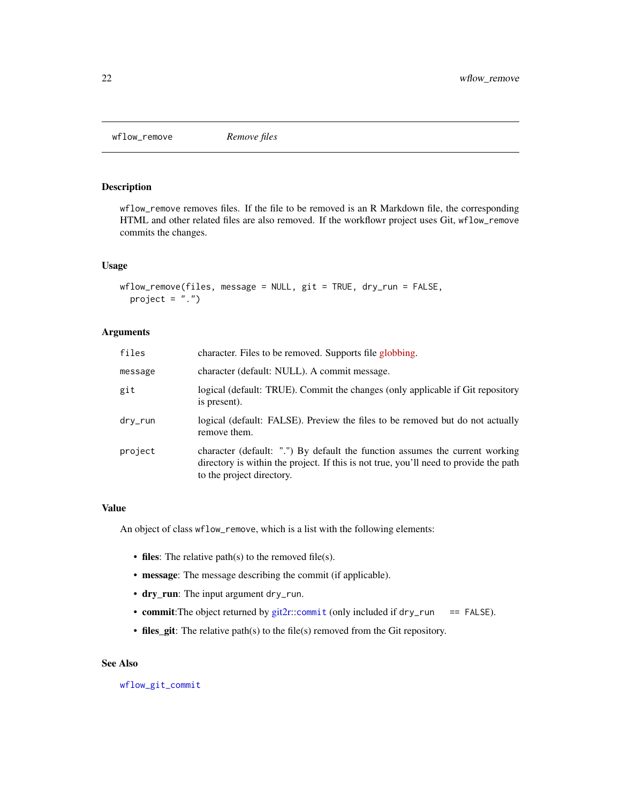<span id="page-21-0"></span>wflow\_remove *Remove files*

## Description

wflow\_remove removes files. If the file to be removed is an R Markdown file, the corresponding HTML and other related files are also removed. If the workflowr project uses Git, wflow\_remove commits the changes.

## Usage

```
wflow_remove(files, message = NULL, git = TRUE, dry_run = FALSE,
 project = ".")
```
## Arguments

| files   | character. Files to be removed. Supports file globbing.                                                                                                                                            |
|---------|----------------------------------------------------------------------------------------------------------------------------------------------------------------------------------------------------|
| message | character (default: NULL). A commit message.                                                                                                                                                       |
| git     | logical (default: TRUE). Commit the changes (only applicable if Git repository<br>is present).                                                                                                     |
| dry_run | logical (default: FALSE). Preview the files to be removed but do not actually<br>remove them.                                                                                                      |
| project | character (default: ".") By default the function assumes the current working<br>directory is within the project. If this is not true, you'll need to provide the path<br>to the project directory. |

## Value

An object of class wflow\_remove, which is a list with the following elements:

- files: The relative path(s) to the removed file(s).
- message: The message describing the commit (if applicable).
- dry\_run: The input argument dry\_run.
- commit: The object returned by [git2r:](#page-0-0): [commit](#page-0-0) (only included if dry\_run == FALSE).
- files\_git: The relative path(s) to the file(s) removed from the Git repository.

## See Also

[wflow\\_git\\_commit](#page-5-1)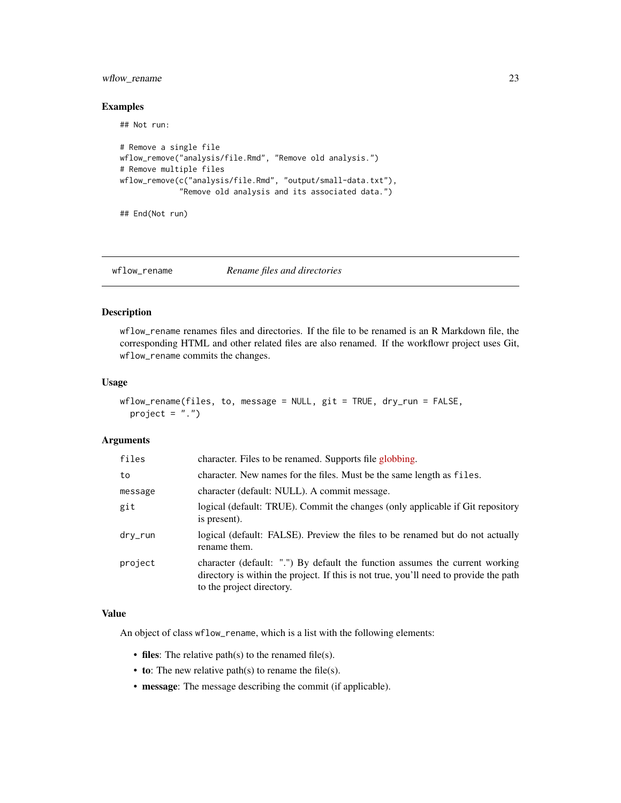## <span id="page-22-0"></span>wflow\_rename 23

## Examples

## Not run:

```
# Remove a single file
wflow_remove("analysis/file.Rmd", "Remove old analysis.")
# Remove multiple files
wflow_remove(c("analysis/file.Rmd", "output/small-data.txt"),
             "Remove old analysis and its associated data.")
```
## End(Not run)

wflow\_rename *Rename files and directories*

## Description

wflow\_rename renames files and directories. If the file to be renamed is an R Markdown file, the corresponding HTML and other related files are also renamed. If the workflowr project uses Git, wflow\_rename commits the changes.

## Usage

```
wflow_rename(files, to, message = NULL, git = TRUE, dry_run = FALSE,
 project = ".")
```
## Arguments

| files   | character. Files to be renamed. Supports file globbing.                                                                                                                                            |
|---------|----------------------------------------------------------------------------------------------------------------------------------------------------------------------------------------------------|
| to      | character. New names for the files. Must be the same length as files.                                                                                                                              |
| message | character (default: NULL). A commit message.                                                                                                                                                       |
| git     | logical (default: TRUE). Commit the changes (only applicable if Git repository<br>is present).                                                                                                     |
| dry_run | logical (default: FALSE). Preview the files to be renamed but do not actually<br>rename them.                                                                                                      |
| project | character (default: ".") By default the function assumes the current working<br>directory is within the project. If this is not true, you'll need to provide the path<br>to the project directory. |

## Value

An object of class wflow\_rename, which is a list with the following elements:

- files: The relative path(s) to the renamed file(s).
- to: The new relative path $(s)$  to rename the file $(s)$ .
- message: The message describing the commit (if applicable).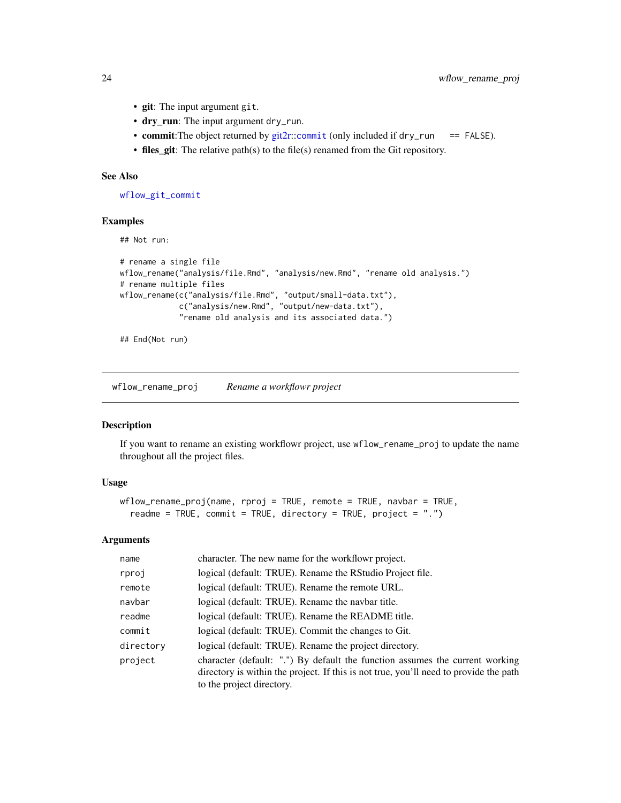- git: The input argument git.
- dry\_run: The input argument dry\_run.
- commit: The object returned by [git2r:](#page-0-0): [commit](#page-0-0) (only included if dry\_run == FALSE).
- files\_git: The relative path(s) to the file(s) renamed from the Git repository.

#### See Also

[wflow\\_git\\_commit](#page-5-1)

## Examples

## Not run:

```
# rename a single file
wflow_rename("analysis/file.Rmd", "analysis/new.Rmd", "rename old analysis.")
# rename multiple files
wflow_rename(c("analysis/file.Rmd", "output/small-data.txt"),
             c("analysis/new.Rmd", "output/new-data.txt"),
             "rename old analysis and its associated data.")
```
## End(Not run)

wflow\_rename\_proj *Rename a workflowr project*

## Description

If you want to rename an existing workflowr project, use wflow\_rename\_proj to update the name throughout all the project files.

## Usage

```
wflow_rename_proj(name, rproj = TRUE, remote = TRUE, navbar = TRUE,
  readme = TRUE, commit = TRUE, directory = TRUE, project = ".")
```

| name      | character. The new name for the workflowr project.                                                                                                                                                 |
|-----------|----------------------------------------------------------------------------------------------------------------------------------------------------------------------------------------------------|
| rproj     | logical (default: TRUE). Rename the RStudio Project file.                                                                                                                                          |
| remote    | logical (default: TRUE). Rename the remote URL.                                                                                                                                                    |
| navbar    | logical (default: TRUE). Rename the navbar title.                                                                                                                                                  |
| readme    | logical (default: TRUE). Rename the README title.                                                                                                                                                  |
| commit    | logical (default: TRUE). Commit the changes to Git.                                                                                                                                                |
| directory | logical (default: TRUE). Rename the project directory.                                                                                                                                             |
| project   | character (default: ".") By default the function assumes the current working<br>directory is within the project. If this is not true, you'll need to provide the path<br>to the project directory. |

<span id="page-23-0"></span>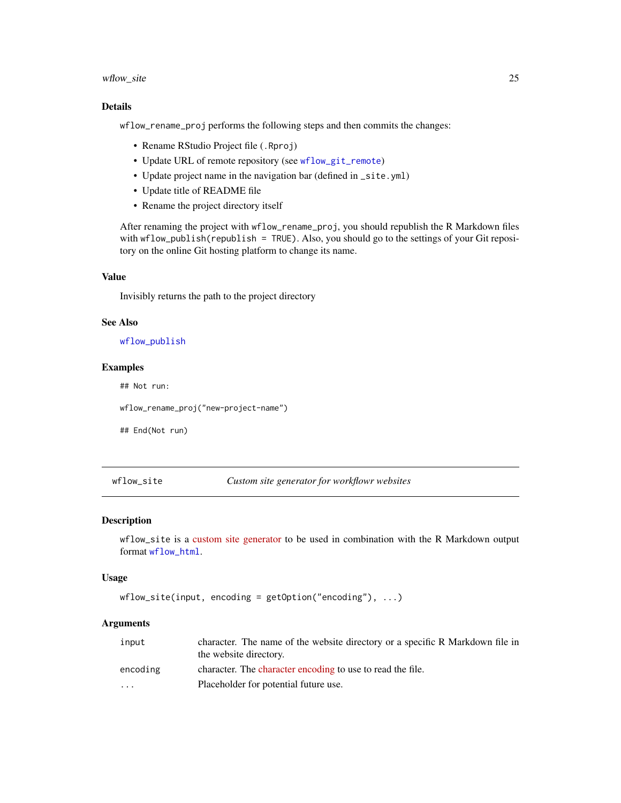## <span id="page-24-0"></span>wflow\_site 25

## Details

wflow\_rename\_proj performs the following steps and then commits the changes:

- Rename RStudio Project file (.Rproj)
- Update URL of remote repository (see [wflow\\_git\\_remote](#page-11-1))
- Update project name in the navigation bar (defined in \_site.yml)
- Update title of README file
- Rename the project directory itself

After renaming the project with wflow\_rename\_proj, you should republish the R Markdown files with wflow\_publish(republish = TRUE). Also, you should go to the settings of your Git repository on the online Git hosting platform to change its name.

#### Value

Invisibly returns the path to the project directory

#### See Also

[wflow\\_publish](#page-19-1)

## Examples

## Not run:

wflow\_rename\_proj("new-project-name")

## End(Not run)

<span id="page-24-1"></span>wflow\_site *Custom site generator for workflowr websites*

## Description

wflow\_site is a [custom site generator](http://rmarkdown.rstudio.com/rmarkdown_site_generators.html) to be used in combination with the R Markdown output format [wflow\\_html](#page-12-1).

#### Usage

```
wflow_site(input, encoding = getOption("encoding"), ...)
```

| input                   | character. The name of the website directory or a specific R Markdown file in<br>the website directory. |
|-------------------------|---------------------------------------------------------------------------------------------------------|
| encoding                | character. The character encoding to use to read the file.                                              |
| $\cdot$ $\cdot$ $\cdot$ | Placeholder for potential future use.                                                                   |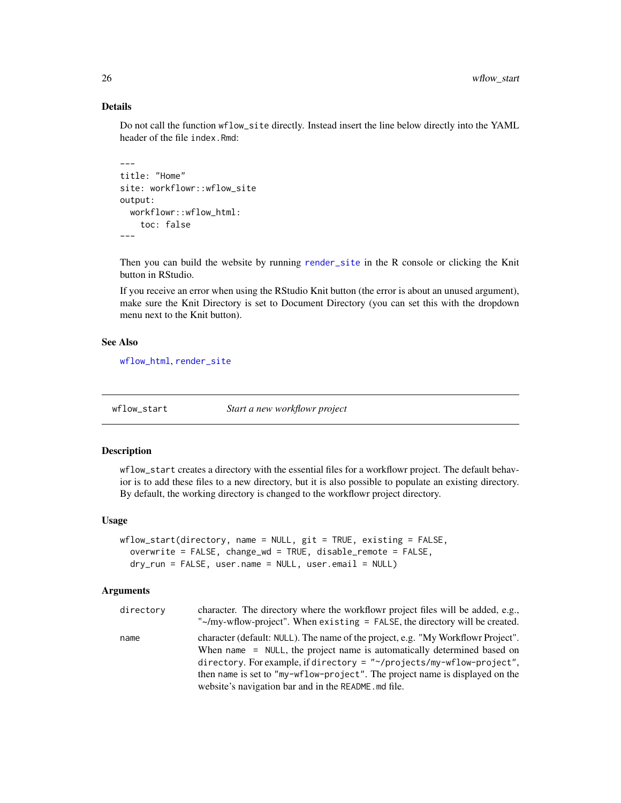## Details

Do not call the function wflow\_site directly. Instead insert the line below directly into the YAML header of the file index.Rmd:

```
---
title: "Home"
site: workflowr::wflow_site
output:
 workflowr::wflow_html:
    toc: false
---
```
Then you can build the website by running [render\\_site](#page-0-0) in the R console or clicking the Knit button in RStudio.

If you receive an error when using the RStudio Knit button (the error is about an unused argument), make sure the Knit Directory is set to Document Directory (you can set this with the dropdown menu next to the Knit button).

#### See Also

[wflow\\_html](#page-12-1), [render\\_site](#page-0-0)

<span id="page-25-1"></span>wflow\_start *Start a new workflowr project*

## Description

wflow\_start creates a directory with the essential files for a workflowr project. The default behavior is to add these files to a new directory, but it is also possible to populate an existing directory. By default, the working directory is changed to the workflowr project directory.

#### Usage

```
wflow_start(directory, name = NULL, git = TRUE, existing = FALSE,
  overwrite = FALSE, change_wd = TRUE, disable_remote = FALSE,
  dry_run = FALSE, user.name = NULL, user.email = NULL)
```

| directory | character. The directory where the workflowr project files will be added, e.g.,<br>"~/my-wflow-project". When existing = FALSE, the directory will be created. |
|-----------|----------------------------------------------------------------------------------------------------------------------------------------------------------------|
| name      | character (default: NULL). The name of the project, e.g. "My Workflowr Project".                                                                               |
|           | When name = NULL, the project name is automatically determined based on                                                                                        |
|           | directory. For example, if directory = $"$ /projects/my-wflow-project",                                                                                        |
|           | then name is set to "my-wflow-project". The project name is displayed on the                                                                                   |
|           | website's navigation bar and in the README. md file.                                                                                                           |

<span id="page-25-0"></span>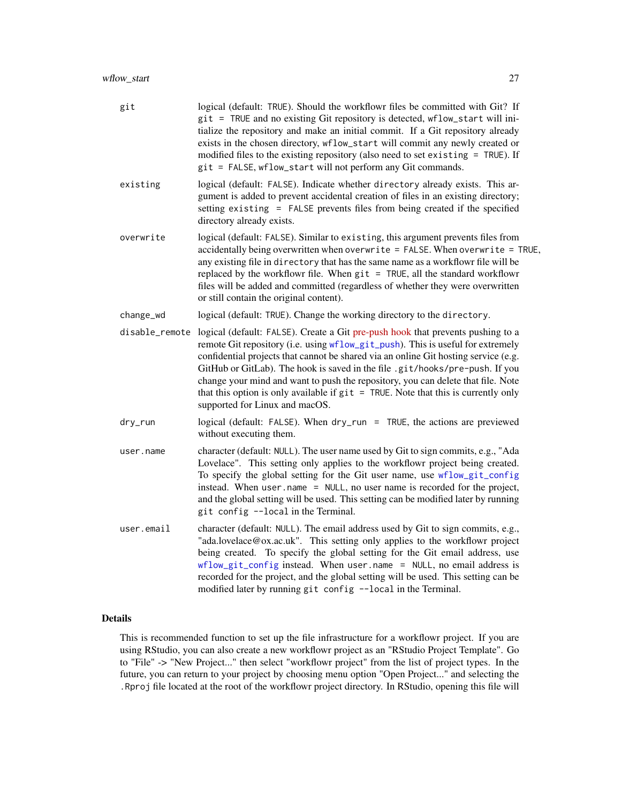<span id="page-26-0"></span>

| git            | logical (default: TRUE). Should the workflowr files be committed with Git? If<br>git = TRUE and no existing Git repository is detected, wflow_start will ini-<br>tialize the repository and make an initial commit. If a Git repository already<br>exists in the chosen directory, wflow_start will commit any newly created or<br>modified files to the existing repository (also need to set existing = TRUE). If<br>git = FALSE, wflow_start will not perform any Git commands.                                                                       |
|----------------|----------------------------------------------------------------------------------------------------------------------------------------------------------------------------------------------------------------------------------------------------------------------------------------------------------------------------------------------------------------------------------------------------------------------------------------------------------------------------------------------------------------------------------------------------------|
| existing       | logical (default: FALSE). Indicate whether directory already exists. This ar-<br>gument is added to prevent accidental creation of files in an existing directory;<br>setting existing = FALSE prevents files from being created if the specified<br>directory already exists.                                                                                                                                                                                                                                                                           |
| overwrite      | logical (default: FALSE). Similar to existing, this argument prevents files from<br>accidentally being overwritten when overwrite = FALSE. When overwrite = TRUE,<br>any existing file in directory that has the same name as a workflowr file will be<br>replaced by the workflowr file. When git = TRUE, all the standard workflowr<br>files will be added and committed (regardless of whether they were overwritten<br>or still contain the original content).                                                                                       |
| change_wd      | logical (default: TRUE). Change the working directory to the directory.                                                                                                                                                                                                                                                                                                                                                                                                                                                                                  |
| disable_remote | logical (default: FALSE). Create a Git pre-push hook that prevents pushing to a<br>remote Git repository (i.e. using wflow_git_push). This is useful for extremely<br>confidential projects that cannot be shared via an online Git hosting service (e.g.<br>GitHub or GitLab). The hook is saved in the file .git/hooks/pre-push. If you<br>change your mind and want to push the repository, you can delete that file. Note<br>that this option is only available if $git = TRUE$ . Note that this is currently only<br>supported for Linux and macOS. |
| dry_run        | logical (default: FALSE). When dry_run = TRUE, the actions are previewed<br>without executing them.                                                                                                                                                                                                                                                                                                                                                                                                                                                      |
| user.name      | character (default: NULL). The user name used by Git to sign commits, e.g., "Ada<br>Lovelace". This setting only applies to the workflowr project being created.<br>To specify the global setting for the Git user name, use wflow_git_config<br>instead. When user . name = NULL, no user name is recorded for the project,<br>and the global setting will be used. This setting can be modified later by running<br>git config --local in the Terminal.                                                                                                |
| user.email     | character (default: NULL). The email address used by Git to sign commits, e.g.,<br>"ada.lovelace@ox.ac.uk". This setting only applies to the workflowr project<br>being created. To specify the global setting for the Git email address, use<br>wflow_git_config instead. When user.name = NULL, no email address is<br>recorded for the project, and the global setting will be used. This setting can be<br>modified later by running git config --local in the Terminal.                                                                             |

## Details

This is recommended function to set up the file infrastructure for a workflowr project. If you are using RStudio, you can also create a new workflowr project as an "RStudio Project Template". Go to "File" -> "New Project..." then select "workflowr project" from the list of project types. In the future, you can return to your project by choosing menu option "Open Project..." and selecting the .Rproj file located at the root of the workflowr project directory. In RStudio, opening this file will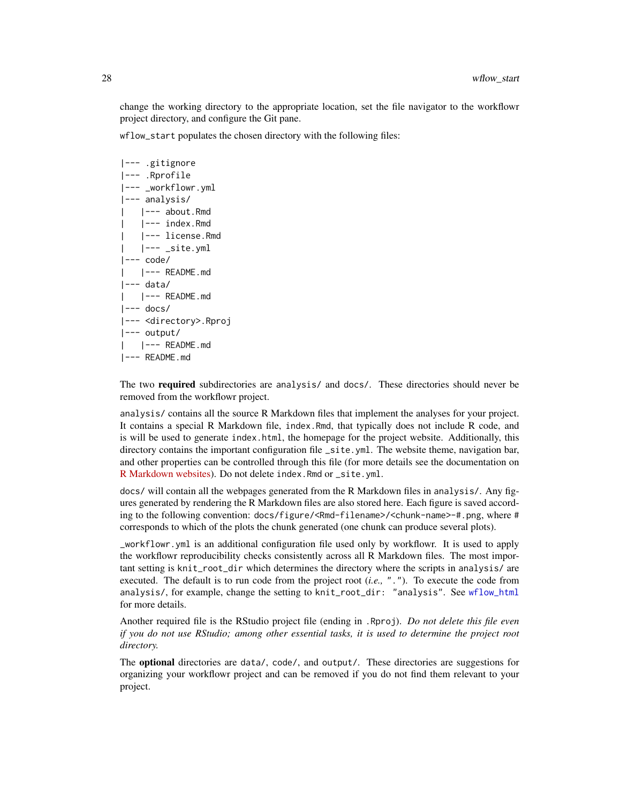<span id="page-27-0"></span>change the working directory to the appropriate location, set the file navigator to the workflowr project directory, and configure the Git pane.

wflow\_start populates the chosen directory with the following files:

```
|--- .gitignore
|--- .Rprofile
|--- _workflowr.yml
|--- analysis/
   | |--- about.Rmd
    | |--- index.Rmd
    | |--- license.Rmd
    |--- _site.yml
|---code/| |--- README.md
|--- data/
   | |--- README.md
|--- docs/
|--- <directory>.Rproj
|--- output/
    | |--- README.md
|--- README.md
```
The two required subdirectories are analysis/ and docs/. These directories should never be removed from the workflowr project.

analysis/ contains all the source R Markdown files that implement the analyses for your project. It contains a special R Markdown file, index.Rmd, that typically does not include R code, and is will be used to generate index.html, the homepage for the project website. Additionally, this directory contains the important configuration file \_site.yml. The website theme, navigation bar, and other properties can be controlled through this file (for more details see the documentation on [R Markdown websites\)](https://rmarkdown.rstudio.com/rmarkdown_websites.html). Do not delete index.Rmd or \_site.yml.

docs/ will contain all the webpages generated from the R Markdown files in analysis/. Any figures generated by rendering the R Markdown files are also stored here. Each figure is saved according to the following convention: docs/figure/<Rmd-filename>/<chunk-name>-#.png, where # corresponds to which of the plots the chunk generated (one chunk can produce several plots).

\_workflowr.yml is an additional configuration file used only by workflowr. It is used to apply the workflowr reproducibility checks consistently across all R Markdown files. The most important setting is knit\_root\_dir which determines the directory where the scripts in analysis/ are executed. The default is to run code from the project root (*i.e.,* "."). To execute the code from analysis/, for example, change the setting to knit\_root\_dir: "analysis". See [wflow\\_html](#page-12-1) for more details.

Another required file is the RStudio project file (ending in .Rproj). *Do not delete this file even if you do not use RStudio; among other essential tasks, it is used to determine the project root directory.*

The **optional** directories are data/, code/, and output/. These directories are suggestions for organizing your workflowr project and can be removed if you do not find them relevant to your project.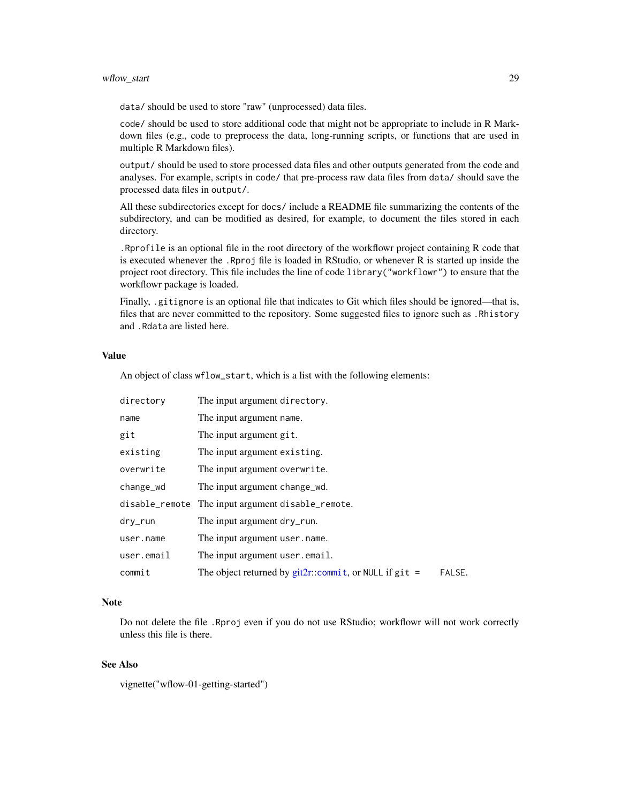## <span id="page-28-0"></span>wflow\_start 29

data/ should be used to store "raw" (unprocessed) data files.

code/ should be used to store additional code that might not be appropriate to include in R Markdown files (e.g., code to preprocess the data, long-running scripts, or functions that are used in multiple R Markdown files).

output/ should be used to store processed data files and other outputs generated from the code and analyses. For example, scripts in code/ that pre-process raw data files from data/ should save the processed data files in output/.

All these subdirectories except for docs/ include a README file summarizing the contents of the subdirectory, and can be modified as desired, for example, to document the files stored in each directory.

.Rprofile is an optional file in the root directory of the workflowr project containing R code that is executed whenever the .Rproj file is loaded in RStudio, or whenever R is started up inside the project root directory. This file includes the line of code library("workflowr") to ensure that the workflowr package is loaded.

Finally, .gitignore is an optional file that indicates to Git which files should be ignored—that is, files that are never committed to the repository. Some suggested files to ignore such as .Rhistory and .Rdata are listed here.

#### Value

An object of class wflow\_start, which is a list with the following elements:

| directory  | The input argument directory.                               |        |
|------------|-------------------------------------------------------------|--------|
| name       | The input argument name.                                    |        |
| git        | The input argument git.                                     |        |
| existing   | The input argument existing.                                |        |
| overwrite  | The input argument overwrite.                               |        |
| change_wd  | The input argument change wd.                               |        |
|            | disable_remote The input argument disable_remote.           |        |
| dry_run    | The input argument dry_run.                                 |        |
| user.name  | The input argument user, name.                              |        |
| user.email | The input argument user . email.                            |        |
| commit     | The object returned by $git2r$ ::commit, or NULL if $git =$ | FALSE. |

## **Note**

Do not delete the file .Rproj even if you do not use RStudio; workflowr will not work correctly unless this file is there.

## See Also

vignette("wflow-01-getting-started")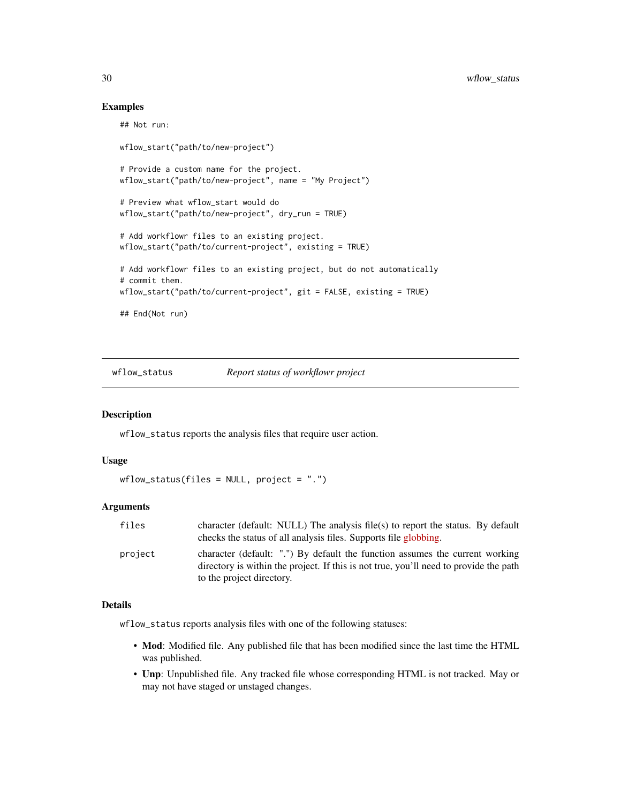## Examples

```
## Not run:
wflow_start("path/to/new-project")
# Provide a custom name for the project.
wflow_start("path/to/new-project", name = "My Project")
# Preview what wflow_start would do
wflow_start("path/to/new-project", dry_run = TRUE)
# Add workflowr files to an existing project.
wflow_start("path/to/current-project", existing = TRUE)
# Add workflowr files to an existing project, but do not automatically
# commit them.
wflow_start("path/to/current-project", git = FALSE, existing = TRUE)
## End(Not run)
```
<span id="page-29-1"></span>wflow\_status *Report status of workflowr project*

#### Description

wflow\_status reports the analysis files that require user action.

#### Usage

```
wflow_status(files = NULL, project = ".")
```
## Arguments

| files   | character (default: NULL) The analysis file(s) to report the status. By default<br>checks the status of all analysis files. Supports file globbing.                                                |
|---------|----------------------------------------------------------------------------------------------------------------------------------------------------------------------------------------------------|
| project | character (default: ".") By default the function assumes the current working<br>directory is within the project. If this is not true, you'll need to provide the path<br>to the project directory. |

#### Details

wflow\_status reports analysis files with one of the following statuses:

- Mod: Modified file. Any published file that has been modified since the last time the HTML was published.
- Unp: Unpublished file. Any tracked file whose corresponding HTML is not tracked. May or may not have staged or unstaged changes.

<span id="page-29-0"></span>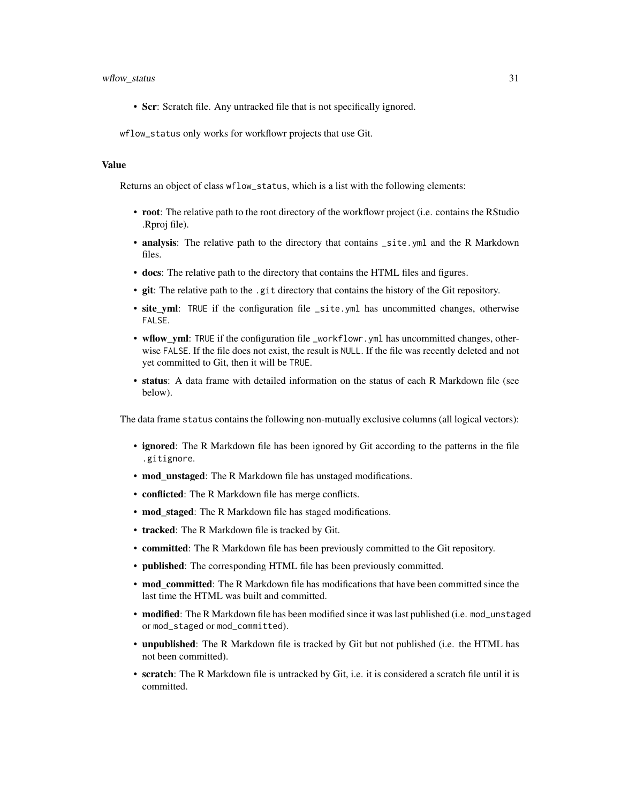#### wflow\_status 31

• Scr: Scratch file. Any untracked file that is not specifically ignored.

wflow\_status only works for workflowr projects that use Git.

#### Value

Returns an object of class wflow\_status, which is a list with the following elements:

- root: The relative path to the root directory of the workflowr project (i.e. contains the RStudio .Rproj file).
- analysis: The relative path to the directory that contains \_site.yml and the R Markdown files.
- docs: The relative path to the directory that contains the HTML files and figures.
- git: The relative path to the .git directory that contains the history of the Git repository.
- site yml: TRUE if the configuration file \_site.yml has uncommitted changes, otherwise FALSE.
- wflow\_yml: TRUE if the configuration file \_workflowr.yml has uncommitted changes, otherwise FALSE. If the file does not exist, the result is NULL. If the file was recently deleted and not yet committed to Git, then it will be TRUE.
- status: A data frame with detailed information on the status of each R Markdown file (see below).

The data frame status contains the following non-mutually exclusive columns (all logical vectors):

- ignored: The R Markdown file has been ignored by Git according to the patterns in the file .gitignore.
- mod\_unstaged: The R Markdown file has unstaged modifications.
- conflicted: The R Markdown file has merge conflicts.
- mod\_staged: The R Markdown file has staged modifications.
- tracked: The R Markdown file is tracked by Git.
- committed: The R Markdown file has been previously committed to the Git repository.
- published: The corresponding HTML file has been previously committed.
- mod committed: The R Markdown file has modifications that have been committed since the last time the HTML was built and committed.
- modified: The R Markdown file has been modified since it was last published (i.e. mod\_unstaged or mod\_staged or mod\_committed).
- unpublished: The R Markdown file is tracked by Git but not published (i.e. the HTML has not been committed).
- scratch: The R Markdown file is untracked by Git, i.e. it is considered a scratch file until it is committed.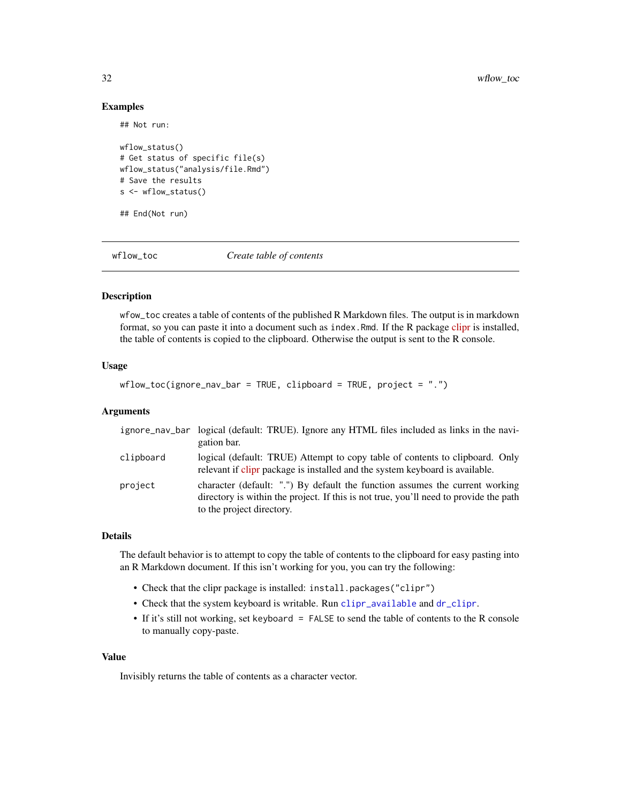## Examples

## Not run:

```
wflow_status()
# Get status of specific file(s)
wflow_status("analysis/file.Rmd")
# Save the results
s <- wflow_status()
```
## End(Not run)

wflow\_toc *Create table of contents*

## Description

wfow\_toc creates a table of contents of the published R Markdown files. The output is in markdown format, so you can paste it into a document such as index.Rmd. If the R package [clipr](https://cran.r-project.org/package=clipr) is installed, the table of contents is copied to the clipboard. Otherwise the output is sent to the R console.

#### Usage

 $wflow\_toc(ignore\_nav\_bar = TRUE, clipboard = TRUE, project = "."$ 

#### Arguments

|           | ignore_nav_bar logical (default: TRUE). Ignore any HTML files included as links in the navi-<br>gation bar.                                                                                        |
|-----------|----------------------------------------------------------------------------------------------------------------------------------------------------------------------------------------------------|
| clipboard | logical (default: TRUE) Attempt to copy table of contents to clipboard. Only<br>relevant if clips package is installed and the system keyboard is available.                                       |
| project   | character (default: ".") By default the function assumes the current working<br>directory is within the project. If this is not true, you'll need to provide the path<br>to the project directory. |

## Details

The default behavior is to attempt to copy the table of contents to the clipboard for easy pasting into an R Markdown document. If this isn't working for you, you can try the following:

- Check that the clipr package is installed: install.packages("clipr")
- Check that the system keyboard is writable. Run [clipr\\_available](#page-0-0) and [dr\\_clipr](#page-0-0).
- If it's still not working, set keyboard = FALSE to send the table of contents to the R console to manually copy-paste.

#### Value

Invisibly returns the table of contents as a character vector.

<span id="page-31-0"></span>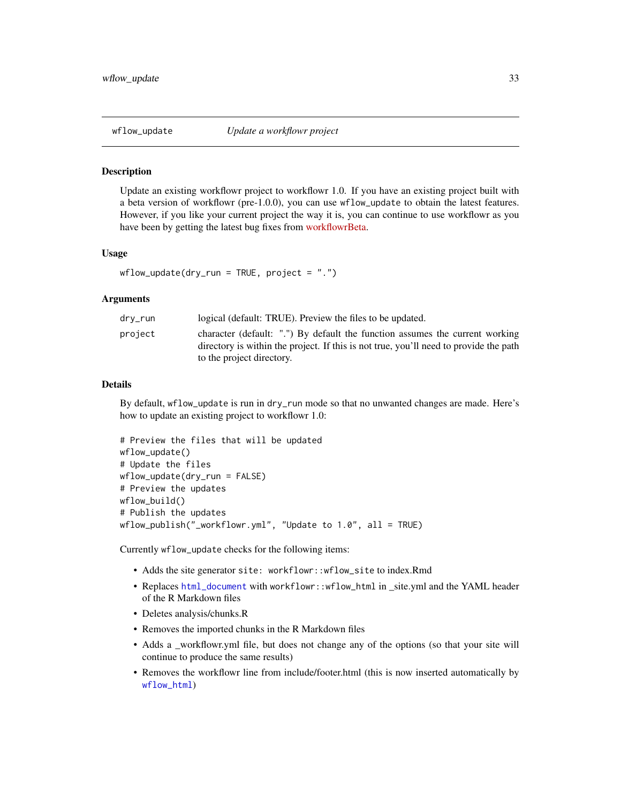<span id="page-32-0"></span>

#### Description

Update an existing workflowr project to workflowr 1.0. If you have an existing project built with a beta version of workflowr (pre-1.0.0), you can use wflow\_update to obtain the latest features. However, if you like your current project the way it is, you can continue to use workflowr as you have been by getting the latest bug fixes from [workflowrBeta.](https://jdblischak.github.io/workflowrBeta/)

#### Usage

```
wflow\_update(dry_run = TRUE, project = "."
```
#### Arguments

| drv_run | logical (default: TRUE). Preview the files to be updated.                                                                                                                                          |
|---------|----------------------------------------------------------------------------------------------------------------------------------------------------------------------------------------------------|
| project | character (default: ".") By default the function assumes the current working<br>directory is within the project. If this is not true, you'll need to provide the path<br>to the project directory. |

## Details

By default, wflow\_update is run in dry\_run mode so that no unwanted changes are made. Here's how to update an existing project to workflowr 1.0:

```
# Preview the files that will be updated
wflow_update()
# Update the files
wflow_update(dry_run = FALSE)
# Preview the updates
wflow_build()
# Publish the updates
wflow_publish("_workflowr.yml", "Update to 1.0", all = TRUE)
```
Currently wflow\_update checks for the following items:

- Adds the site generator site: workflowr::wflow\_site to index.Rmd
- Replaces [html\\_document](#page-0-0) with workflowr::wflow\_html in \_site.yml and the YAML header of the R Markdown files
- Deletes analysis/chunks.R
- Removes the imported chunks in the R Markdown files
- Adds a \_workflowr.yml file, but does not change any of the options (so that your site will continue to produce the same results)
- Removes the workflowr line from include/footer.html (this is now inserted automatically by [wflow\\_html](#page-12-1))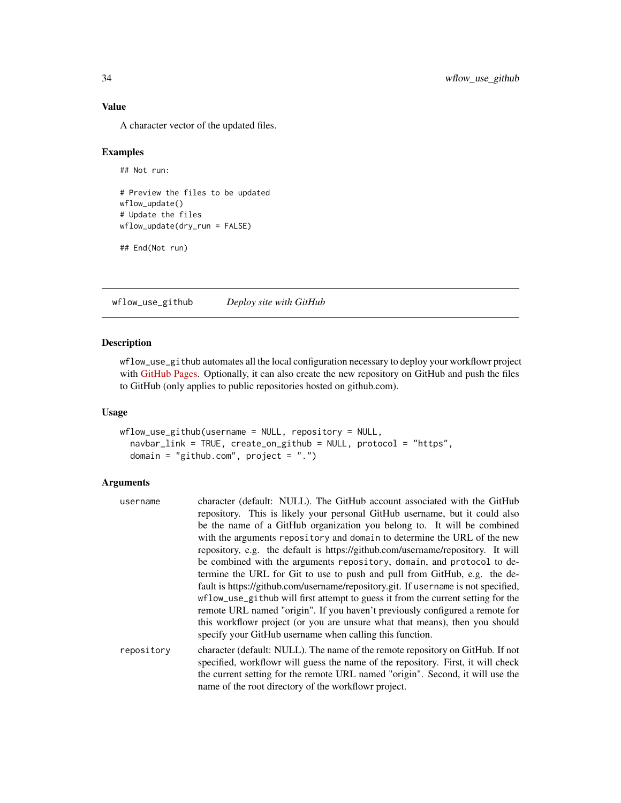## Value

A character vector of the updated files.

## Examples

```
## Not run:
```

```
# Preview the files to be updated
wflow_update()
# Update the files
wflow_update(dry_run = FALSE)
```

```
## End(Not run)
```
<span id="page-33-1"></span>wflow\_use\_github *Deploy site with GitHub*

### Description

wflow\_use\_github automates all the local configuration necessary to deploy your workflowr project with [GitHub Pages.](https://pages.github.com/) Optionally, it can also create the new repository on GitHub and push the files to GitHub (only applies to public repositories hosted on github.com).

## Usage

```
wflow_use_github(username = NULL, repository = NULL,
  navbar_link = TRUE, create_on_github = NULL, protocol = "https",
  domain = "github.com", project = ".")
```

| username   | character (default: NULL). The GitHub account associated with the GitHub                                                                                           |
|------------|--------------------------------------------------------------------------------------------------------------------------------------------------------------------|
|            | repository. This is likely your personal GitHub username, but it could also                                                                                        |
|            | be the name of a GitHub organization you belong to. It will be combined                                                                                            |
|            | with the arguments repository and domain to determine the URL of the new                                                                                           |
|            | repository, e.g. the default is https://github.com/username/repository. It will                                                                                    |
|            | be combined with the arguments repository, domain, and protocol to de-                                                                                             |
|            | termine the URL for Git to use to push and pull from GitHub, e.g. the de-                                                                                          |
|            | fault is https://github.com/username/repository.git. If username is not specified,                                                                                 |
|            | wflow_use_github will first attempt to guess it from the current setting for the                                                                                   |
|            | remote URL named "origin". If you haven't previously configured a remote for                                                                                       |
|            | this workflowr project (or you are unsure what that means), then you should<br>specify your GitHub username when calling this function.                            |
| repository | character (default: NULL). The name of the remote repository on GitHub. If not<br>specified, workflowr will guess the name of the repository. First, it will check |
|            | the current setting for the remote URL named "origin". Second, it will use the                                                                                     |
|            | name of the root directory of the workflowr project.                                                                                                               |

<span id="page-33-0"></span>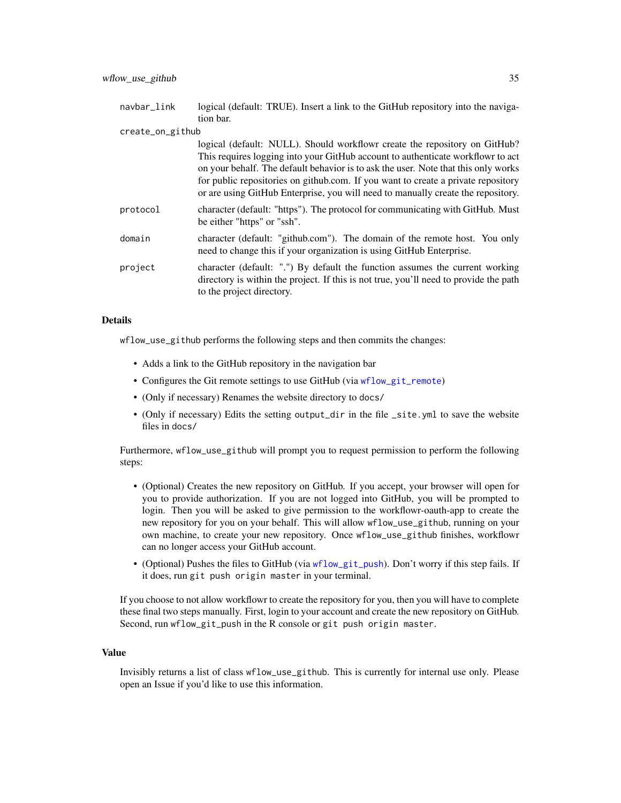<span id="page-34-0"></span>

| navbar_link      | logical (default: TRUE). Insert a link to the GitHub repository into the naviga-                                                                                                                                                                                                                                                                                                                                             |
|------------------|------------------------------------------------------------------------------------------------------------------------------------------------------------------------------------------------------------------------------------------------------------------------------------------------------------------------------------------------------------------------------------------------------------------------------|
|                  | tion bar.                                                                                                                                                                                                                                                                                                                                                                                                                    |
| create_on_github |                                                                                                                                                                                                                                                                                                                                                                                                                              |
|                  | logical (default: NULL). Should workflowr create the repository on GitHub?<br>This requires logging into your GitHub account to authenticate workflowr to act<br>on your behalf. The default behavior is to ask the user. Note that this only works<br>for public repositories on github.com. If you want to create a private repository<br>or are using GitHub Enterprise, you will need to manually create the repository. |
| protocol         | character (default: "https"). The protocol for communicating with GitHub. Must<br>be either "https" or "ssh".                                                                                                                                                                                                                                                                                                                |
| domain           | character (default: "github.com"). The domain of the remote host. You only<br>need to change this if your organization is using GitHub Enterprise.                                                                                                                                                                                                                                                                           |
| project          | character (default: ".") By default the function assumes the current working<br>directory is within the project. If this is not true, you'll need to provide the path<br>to the project directory.                                                                                                                                                                                                                           |

#### Details

wflow\_use\_github performs the following steps and then commits the changes:

- Adds a link to the GitHub repository in the navigation bar
- Configures the Git remote settings to use GitHub (via [wflow\\_git\\_remote](#page-11-1))
- (Only if necessary) Renames the website directory to docs/
- (Only if necessary) Edits the setting output\_dir in the file \_site.yml to save the website files in docs/

Furthermore, wflow\_use\_github will prompt you to request permission to perform the following steps:

- (Optional) Creates the new repository on GitHub. If you accept, your browser will open for you to provide authorization. If you are not logged into GitHub, you will be prompted to login. Then you will be asked to give permission to the workflowr-oauth-app to create the new repository for you on your behalf. This will allow wflow\_use\_github, running on your own machine, to create your new repository. Once wflow\_use\_github finishes, workflowr can no longer access your GitHub account.
- (Optional) Pushes the files to GitHub (via [wflow\\_git\\_push](#page-9-1)). Don't worry if this step fails. If it does, run git push origin master in your terminal.

If you choose to not allow workflowr to create the repository for you, then you will have to complete these final two steps manually. First, login to your account and create the new repository on GitHub. Second, run wflow\_git\_push in the R console or git push origin master.

#### Value

Invisibly returns a list of class wflow\_use\_github. This is currently for internal use only. Please open an Issue if you'd like to use this information.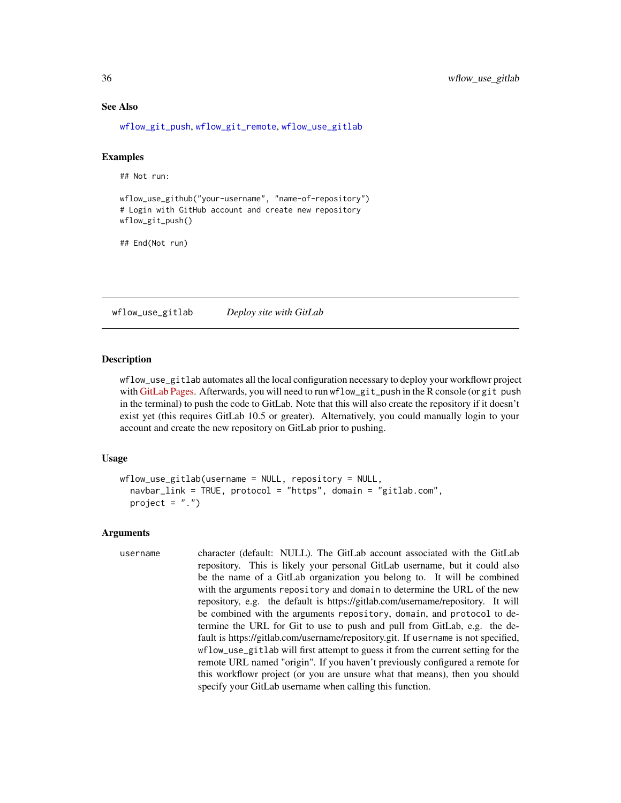#### See Also

[wflow\\_git\\_push](#page-9-1), [wflow\\_git\\_remote](#page-11-1), [wflow\\_use\\_gitlab](#page-35-1)

## Examples

## Not run:

```
wflow_use_github("your-username", "name-of-repository")
# Login with GitHub account and create new repository
wflow_git_push()
```
## End(Not run)

<span id="page-35-1"></span>wflow\_use\_gitlab *Deploy site with GitLab*

#### **Description**

wflow\_use\_gitlab automates all the local configuration necessary to deploy your workflowr project with [GitLab Pages.](https://docs.gitlab.com/ee/ci/yaml/README.html#pages) Afterwards, you will need to run wflow\_git\_push in the R console (or git push in the terminal) to push the code to GitLab. Note that this will also create the repository if it doesn't exist yet (this requires GitLab 10.5 or greater). Alternatively, you could manually login to your account and create the new repository on GitLab prior to pushing.

#### Usage

```
wflow\_use\_gitlab(usename = NULL, repository = NULL,navbar_link = TRUE, protocol = "https", domain = "gitlab.com",
  project = ".")
```

```
username character (default: NULL). The GitLab account associated with the GitLab
                  repository. This is likely your personal GitLab username, but it could also
                  be the name of a GitLab organization you belong to. It will be combined
                  with the arguments repository and domain to determine the URL of the new
                  repository, e.g. the default is https://gitlab.com/username/repository. It will
                  be combined with the arguments repository, domain, and protocol to de-
                  termine the URL for Git to use to push and pull from GitLab, e.g. the de-
                  fault is https://gitlab.com/username/repository.git. If username is not specified,
                  wflow_use_gitlab will first attempt to guess it from the current setting for the
                  remote URL named "origin". If you haven't previously configured a remote for
                  this workflowr project (or you are unsure what that means), then you should
                  specify your GitLab username when calling this function.
```
<span id="page-35-0"></span>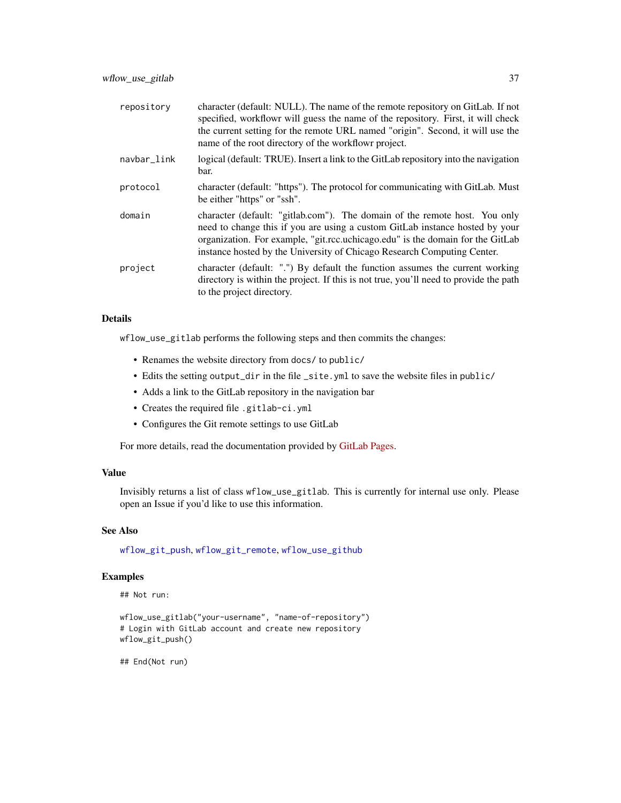<span id="page-36-0"></span>

| repository  | character (default: NULL). The name of the remote repository on GitLab. If not<br>specified, workflowr will guess the name of the repository. First, it will check<br>the current setting for the remote URL named "origin". Second, it will use the<br>name of the root directory of the workflowr project.            |
|-------------|-------------------------------------------------------------------------------------------------------------------------------------------------------------------------------------------------------------------------------------------------------------------------------------------------------------------------|
| navbar_link | logical (default: TRUE). Insert a link to the GitLab repository into the navigation<br>bar.                                                                                                                                                                                                                             |
| protocol    | character (default: "https"). The protocol for communicating with GitLab. Must<br>be either "https" or "ssh".                                                                                                                                                                                                           |
| domain      | character (default: "gitlab.com"). The domain of the remote host. You only<br>need to change this if you are using a custom GitLab instance hosted by your<br>organization. For example, "git.rcc.uchicago.edu" is the domain for the GitLab<br>instance hosted by the University of Chicago Research Computing Center. |
| project     | character (default: ".") By default the function assumes the current working<br>directory is within the project. If this is not true, you'll need to provide the path<br>to the project directory.                                                                                                                      |

## Details

wflow\_use\_gitlab performs the following steps and then commits the changes:

- Renames the website directory from docs/ to public/
- Edits the setting output\_dir in the file \_site.yml to save the website files in public/
- Adds a link to the GitLab repository in the navigation bar
- Creates the required file .gitlab-ci.yml
- Configures the Git remote settings to use GitLab

For more details, read the documentation provided by [GitLab Pages.](https://docs.gitlab.com/ee/ci/yaml/README.html#pages)

## Value

Invisibly returns a list of class wflow\_use\_gitlab. This is currently for internal use only. Please open an Issue if you'd like to use this information.

## See Also

[wflow\\_git\\_push](#page-9-1), [wflow\\_git\\_remote](#page-11-1), [wflow\\_use\\_github](#page-33-1)

#### Examples

## Not run:

```
wflow_use_gitlab("your-username", "name-of-repository")
# Login with GitLab account and create new repository
wflow_git_push()
```
## End(Not run)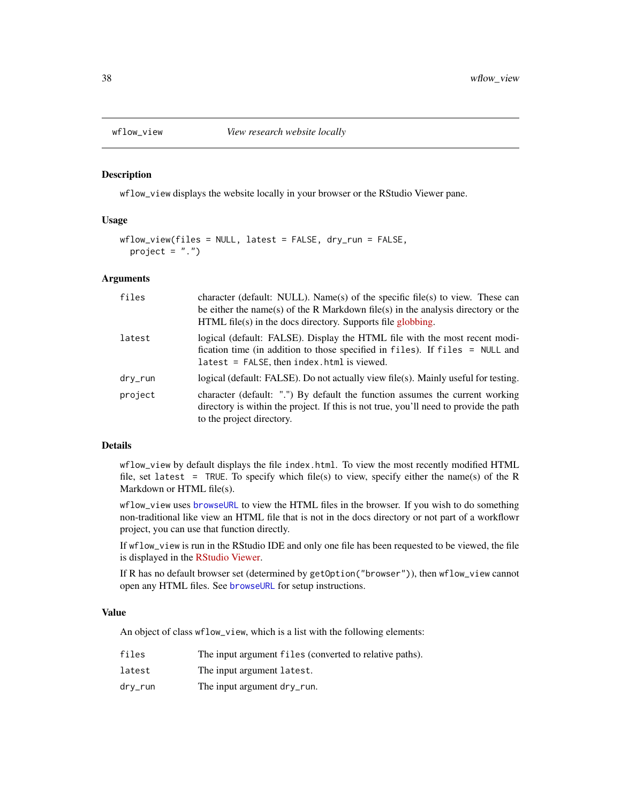<span id="page-37-1"></span><span id="page-37-0"></span>

#### Description

wflow\_view displays the website locally in your browser or the RStudio Viewer pane.

## Usage

```
wflow_view(files = NULL, latest = FALSE, dry_run = FALSE,
 project = ".")
```
## Arguments

| files   | character (default: NULL). Name(s) of the specific file(s) to view. These can<br>be either the name(s) of the R Markdown file(s) in the analysis directory or the<br>$HTML$ file(s) in the docs directory. Supports file globbing. |
|---------|------------------------------------------------------------------------------------------------------------------------------------------------------------------------------------------------------------------------------------|
| latest  | logical (default: FALSE). Display the HTML file with the most recent modi-<br>fication time (in addition to those specified in files). If files = NULL and<br>$latest = FALSE, then index.html is viewed.$                         |
| dry_run | logical (default: FALSE). Do not actually view file(s). Mainly useful for testing.                                                                                                                                                 |
| project | character (default: ".") By default the function assumes the current working<br>directory is within the project. If this is not true, you'll need to provide the path<br>to the project directory.                                 |

## Details

wflow\_view by default displays the file index.html. To view the most recently modified HTML file, set latest = TRUE. To specify which file(s) to view, specify either the name(s) of the R Markdown or HTML file(s).

wflow\_view uses [browseURL](#page-0-0) to view the HTML files in the browser. If you wish to do something non-traditional like view an HTML file that is not in the docs directory or not part of a workflowr project, you can use that function directly.

If wflow\_view is run in the RStudio IDE and only one file has been requested to be viewed, the file is displayed in the [RStudio Viewer.](https://rstudio.github.io/rstudio-extensions/rstudio_viewer.html)

If R has no default browser set (determined by getOption("browser")), then wflow\_view cannot open any HTML files. See [browseURL](#page-0-0) for setup instructions.

#### Value

An object of class wflow\_view, which is a list with the following elements:

| files   | The input argument files (converted to relative paths). |
|---------|---------------------------------------------------------|
| latest  | The input argument latest.                              |
| drv_run | The input argument dry_run.                             |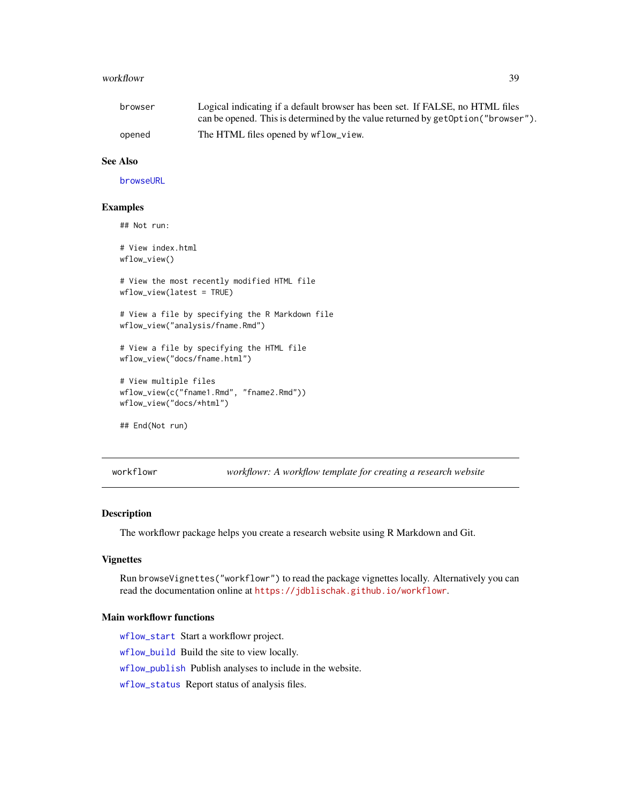#### <span id="page-38-0"></span>workflowr 39

| browser | Logical indicating if a default browser has been set. If FALSE, no HTML files      |
|---------|------------------------------------------------------------------------------------|
|         | can be opened. This is determined by the value returned by get Option ("browser"). |
| opened  | The HTML files opened by wflow_view.                                               |

## See Also

[browseURL](#page-0-0)

## Examples

## Not run:

# View index.html wflow\_view()

# View the most recently modified HTML file wflow\_view(latest = TRUE)

# View a file by specifying the R Markdown file wflow\_view("analysis/fname.Rmd")

# View a file by specifying the HTML file wflow\_view("docs/fname.html")

# View multiple files wflow\_view(c("fname1.Rmd", "fname2.Rmd")) wflow\_view("docs/\*html")

## End(Not run)

workflowr *workflowr: A workflow template for creating a research website*

#### Description

The workflowr package helps you create a research website using R Markdown and Git.

#### Vignettes

Run browseVignettes("workflowr") to read the package vignettes locally. Alternatively you can read the documentation online at <https://jdblischak.github.io/workflowr>.

#### Main workflowr functions

[wflow\\_start](#page-25-1) Start a workflowr project.

[wflow\\_build](#page-2-1) Build the site to view locally.

[wflow\\_publish](#page-19-1) Publish analyses to include in the website.

[wflow\\_status](#page-29-1) Report status of analysis files.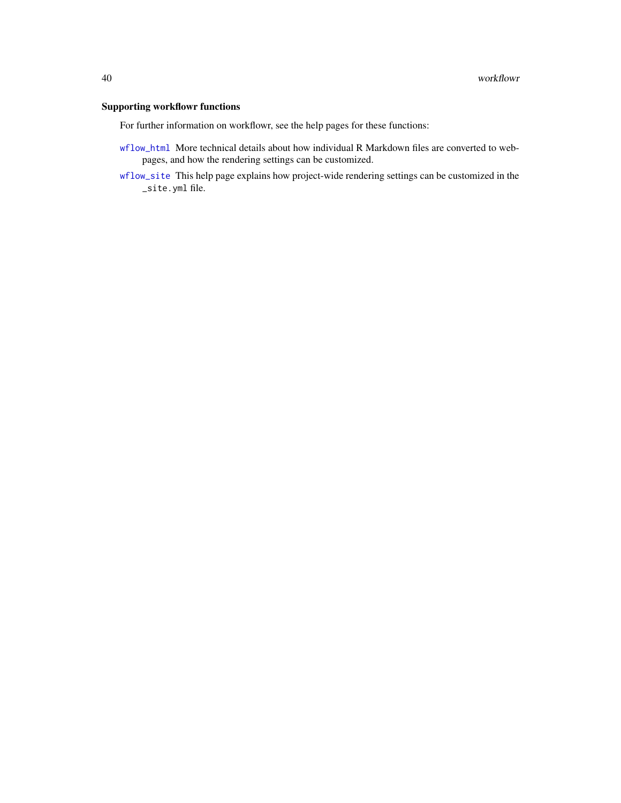## <span id="page-39-0"></span>Supporting workflowr functions

For further information on workflowr, see the help pages for these functions:

- [wflow\\_html](#page-12-1) More technical details about how individual R Markdown files are converted to webpages, and how the rendering settings can be customized.
- [wflow\\_site](#page-24-1) This help page explains how project-wide rendering settings can be customized in the \_site.yml file.